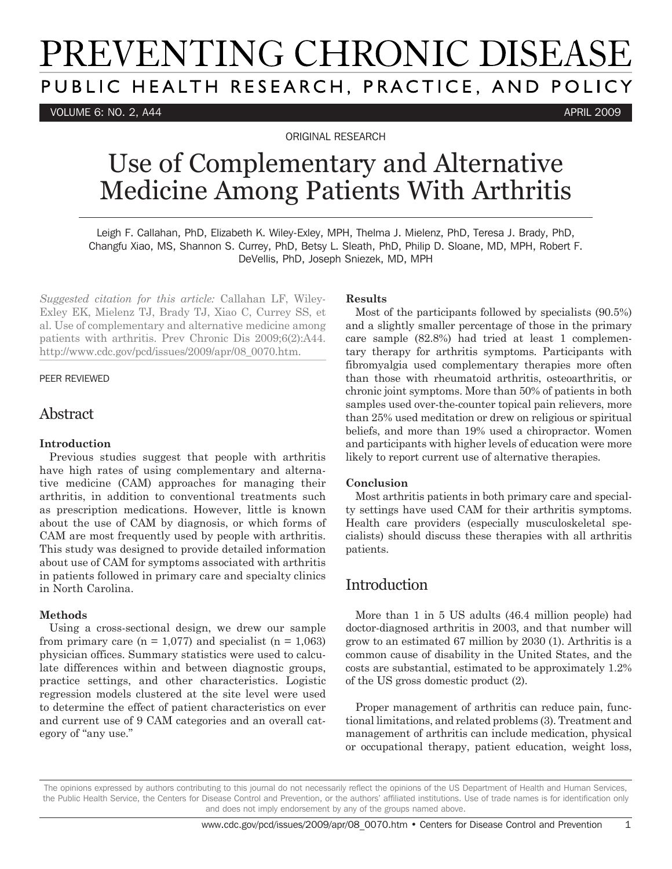# PREVENTING CHRONIC DISEASE PUBLIC HEALTH RESEARCH, PRACTICE, AND POLICY

VOLUME 6: NO. 2, A44 APRIL 2009

ORIGINAL RESEARCH

## Use of Complementary and Alternative Medicine Among Patients With Arthritis

Leigh F. Callahan, PhD, Elizabeth K. Wiley-Exley, MPH, Thelma J. Mielenz, PhD, Teresa J. Brady, PhD, Changfu Xiao, MS, Shannon S. Currey, PhD, Betsy L. Sleath, PhD, Philip D. Sloane, MD, MPH, Robert F. DeVellis, PhD, Joseph Sniezek, MD, MPH

*Suggested citation for this article:* Callahan LF, Wiley-Exley EK, Mielenz TJ, Brady TJ, Xiao C, Currey SS, et al. Use of complementary and alternative medicine among patients with arthritis. Prev Chronic Dis 2009;6(2):A44. http://www.cdc.gov/pcd/issues/2009/apr/08\_0070.htm.

#### PEER REVIEWED

#### Abstract

#### **Introduction**

Previous studies suggest that people with arthritis have high rates of using complementary and alternative medicine (CAM) approaches for managing their arthritis, in addition to conventional treatments such as prescription medications. However, little is known about the use of CAM by diagnosis, or which forms of CAM are most frequently used by people with arthritis. This study was designed to provide detailed information about use of CAM for symptoms associated with arthritis in patients followed in primary care and specialty clinics in North Carolina.

#### **Methods**

Using a cross-sectional design, we drew our sample from primary care ( $n = 1,077$ ) and specialist ( $n = 1,063$ ) physician offices. Summary statistics were used to calculate differences within and between diagnostic groups, practice settings, and other characteristics. Logistic regression models clustered at the site level were used to determine the effect of patient characteristics on ever and current use of 9 CAM categories and an overall category of "any use."

#### **Results**

Most of the participants followed by specialists (90.5%) and a slightly smaller percentage of those in the primary care sample (82.8%) had tried at least 1 complementary therapy for arthritis symptoms. Participants with fibromyalgia used complementary therapies more often than those with rheumatoid arthritis, osteoarthritis, or chronic joint symptoms. More than 50% of patients in both samples used over-the-counter topical pain relievers, more than 25% used meditation or drew on religious or spiritual beliefs, and more than 19% used a chiropractor. Women and participants with higher levels of education were more likely to report current use of alternative therapies.

#### **Conclusion**

Most arthritis patients in both primary care and specialty settings have used CAM for their arthritis symptoms. Health care providers (especially musculoskeletal specialists) should discuss these therapies with all arthritis patients.

## Introduction

More than 1 in 5 US adults (46.4 million people) had doctor-diagnosed arthritis in 2003, and that number will grow to an estimated 67 million by 2030 (1). Arthritis is a common cause of disability in the United States, and the costs are substantial, estimated to be approximately 1.2% of the US gross domestic product (2).

Proper management of arthritis can reduce pain, functional limitations, and related problems (3). Treatment and management of arthritis can include medication, physical or occupational therapy, patient education, weight loss,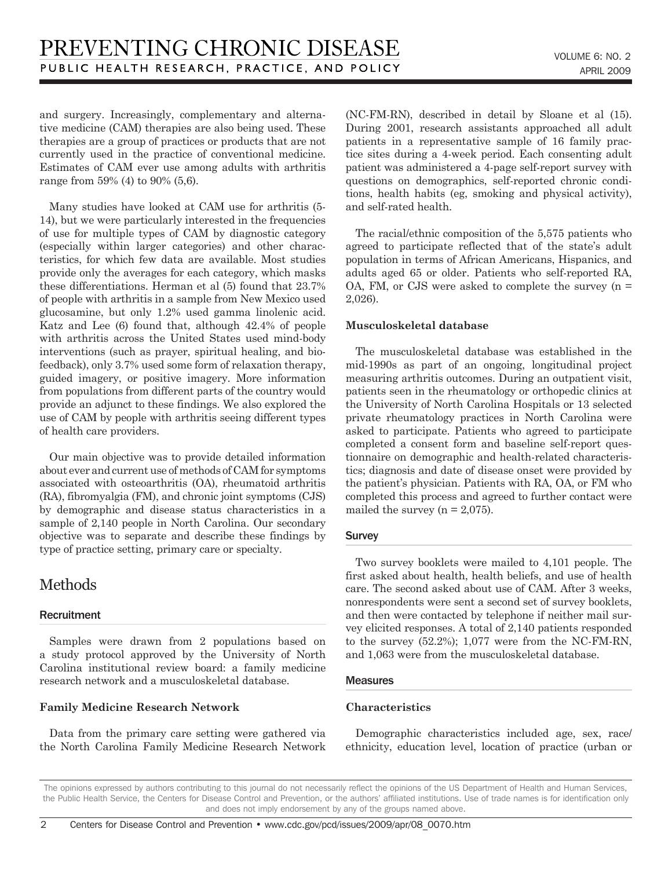and surgery. Increasingly, complementary and alternative medicine (CAM) therapies are also being used. These therapies are a group of practices or products that are not currently used in the practice of conventional medicine. Estimates of CAM ever use among adults with arthritis range from 59% (4) to 90% (5,6).

Many studies have looked at CAM use for arthritis (5- 14), but we were particularly interested in the frequencies of use for multiple types of CAM by diagnostic category (especially within larger categories) and other characteristics, for which few data are available. Most studies provide only the averages for each category, which masks these differentiations. Herman et al (5) found that 23.7% of people with arthritis in a sample from New Mexico used glucosamine, but only 1.2% used gamma linolenic acid. Katz and Lee (6) found that, although 42.4% of people with arthritis across the United States used mind-body interventions (such as prayer, spiritual healing, and biofeedback), only 3.7% used some form of relaxation therapy, guided imagery, or positive imagery. More information from populations from different parts of the country would provide an adjunct to these findings. We also explored the use of CAM by people with arthritis seeing different types of health care providers.

Our main objective was to provide detailed information about ever and current use of methods of CAM for symptoms associated with osteoarthritis (OA), rheumatoid arthritis (RA), fibromyalgia (FM), and chronic joint symptoms (CJS) by demographic and disease status characteristics in a sample of 2,140 people in North Carolina. Our secondary objective was to separate and describe these findings by type of practice setting, primary care or specialty.

## Methods

#### **Recruitment**

Samples were drawn from 2 populations based on a study protocol approved by the University of North Carolina institutional review board: a family medicine research network and a musculoskeletal database.

#### **Family Medicine Research Network**

Data from the primary care setting were gathered via the North Carolina Family Medicine Research Network

(NC-FM-RN), described in detail by Sloane et al (15). During 2001, research assistants approached all adult patients in a representative sample of 16 family practice sites during a 4-week period. Each consenting adult patient was administered a 4-page self-report survey with questions on demographics, self-reported chronic conditions, health habits (eg, smoking and physical activity), and self-rated health.

The racial/ethnic composition of the 5,575 patients who agreed to participate reflected that of the state's adult population in terms of African Americans, Hispanics, and adults aged 65 or older. Patients who self-reported RA, OA, FM, or CJS were asked to complete the survey  $(n =$ 2,026).

#### **Musculoskeletal database**

The musculoskeletal database was established in the mid-1990s as part of an ongoing, longitudinal project measuring arthritis outcomes. During an outpatient visit, patients seen in the rheumatology or orthopedic clinics at the University of North Carolina Hospitals or 13 selected private rheumatology practices in North Carolina were asked to participate. Patients who agreed to participate completed a consent form and baseline self-report questionnaire on demographic and health-related characteristics; diagnosis and date of disease onset were provided by the patient's physician. Patients with RA, OA, or FM who completed this process and agreed to further contact were mailed the survey ( $n = 2.075$ ).

#### **Survey**

Two survey booklets were mailed to 4,101 people. The first asked about health, health beliefs, and use of health care. The second asked about use of CAM. After 3 weeks, nonrespondents were sent a second set of survey booklets, and then were contacted by telephone if neither mail survey elicited responses. A total of 2,140 patients responded to the survey (52.2%); 1,077 were from the NC-FM-RN, and 1,063 were from the musculoskeletal database.

#### **Measures**

#### **Characteristics**

Demographic characteristics included age, sex, race/ ethnicity, education level, location of practice (urban or

The opinions expressed by authors contributing to this journal do not necessarily reflect the opinions of the US Department of Health and Human Services, the Public Health Service, the Centers for Disease Control and Prevention, or the authors' affiliated institutions. Use of trade names is for identification only and does not imply endorsement by any of the groups named above.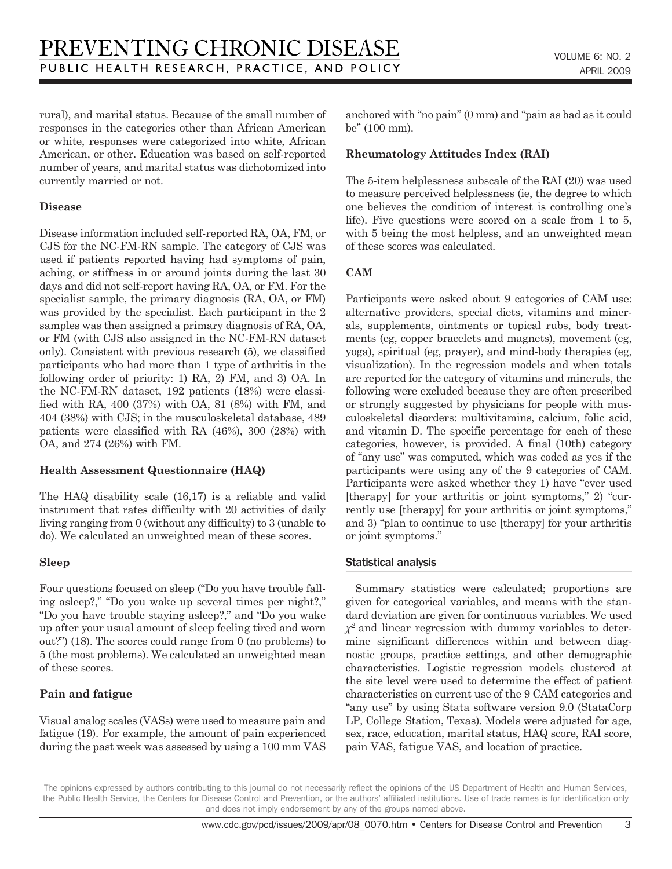rural), and marital status. Because of the small number of responses in the categories other than African American or white, responses were categorized into white, African American, or other. Education was based on self-reported number of years, and marital status was dichotomized into currently married or not.

#### **Disease**

Disease information included self-reported RA, OA, FM, or CJS for the NC-FM-RN sample. The category of CJS was used if patients reported having had symptoms of pain, aching, or stiffness in or around joints during the last 30 days and did not self-report having RA, OA, or FM. For the specialist sample, the primary diagnosis (RA, OA, or FM) was provided by the specialist. Each participant in the 2 samples was then assigned a primary diagnosis of RA, OA, or FM (with CJS also assigned in the NC-FM-RN dataset only). Consistent with previous research (5), we classified participants who had more than 1 type of arthritis in the following order of priority: 1) RA, 2) FM, and 3) OA. In the NC-FM-RN dataset, 192 patients (18%) were classified with RA, 400 (37%) with OA, 81 (8%) with FM, and 404 (38%) with CJS; in the musculoskeletal database, 489 patients were classified with RA (46%), 300 (28%) with OA, and 274 (26%) with FM.

#### **Health Assessment Questionnaire (HAQ)**

The HAQ disability scale (16,17) is a reliable and valid instrument that rates difficulty with 20 activities of daily living ranging from 0 (without any difficulty) to 3 (unable to do). We calculated an unweighted mean of these scores.

#### **Sleep**

Four questions focused on sleep ("Do you have trouble falling asleep?," "Do you wake up several times per night?," "Do you have trouble staying asleep?," and "Do you wake up after your usual amount of sleep feeling tired and worn out?") (18). The scores could range from 0 (no problems) to 5 (the most problems). We calculated an unweighted mean of these scores.

#### **Pain and fatigue**

Visual analog scales (VASs) were used to measure pain and fatigue (19). For example, the amount of pain experienced during the past week was assessed by using a 100 mm VAS

anchored with "no pain" (0 mm) and "pain as bad as it could be" (100 mm).

#### **Rheumatology Attitudes Index (RAI)**

The 5-item helplessness subscale of the RAI (20) was used to measure perceived helplessness (ie, the degree to which one believes the condition of interest is controlling one's life). Five questions were scored on a scale from 1 to 5, with 5 being the most helpless, and an unweighted mean of these scores was calculated.

#### **CAM**

Participants were asked about 9 categories of CAM use: alternative providers, special diets, vitamins and minerals, supplements, ointments or topical rubs, body treatments (eg, copper bracelets and magnets), movement (eg, yoga), spiritual (eg, prayer), and mind-body therapies (eg, visualization). In the regression models and when totals are reported for the category of vitamins and minerals, the following were excluded because they are often prescribed or strongly suggested by physicians for people with musculoskeletal disorders: multivitamins, calcium, folic acid, and vitamin D. The specific percentage for each of these categories, however, is provided. A final (10th) category of "any use" was computed, which was coded as yes if the participants were using any of the 9 categories of CAM. Participants were asked whether they 1) have "ever used [therapy] for your arthritis or joint symptoms," 2) "currently use [therapy] for your arthritis or joint symptoms," and 3) "plan to continue to use [therapy] for your arthritis or joint symptoms."

#### Statistical analysis

Summary statistics were calculated; proportions are given for categorical variables, and means with the standard deviation are given for continuous variables. We used *χ*2 and linear regression with dummy variables to determine significant differences within and between diagnostic groups, practice settings, and other demographic characteristics. Logistic regression models clustered at the site level were used to determine the effect of patient characteristics on current use of the 9 CAM categories and "any use" by using Stata software version 9.0 (StataCorp LP, College Station, Texas). Models were adjusted for age, sex, race, education, marital status, HAQ score, RAI score, pain VAS, fatigue VAS, and location of practice.

The opinions expressed by authors contributing to this journal do not necessarily reflect the opinions of the US Department of Health and Human Services, the Public Health Service, the Centers for Disease Control and Prevention, or the authors' affiliated institutions. Use of trade names is for identification only and does not imply endorsement by any of the groups named above.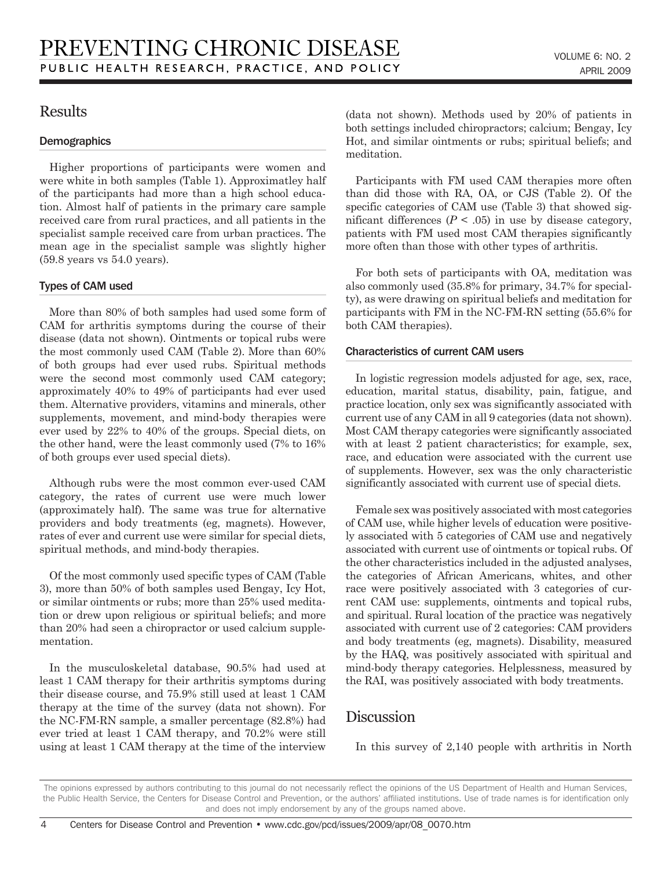## Results

#### **Demographics**

Higher proportions of participants were women and were white in both samples (Table 1). Approximatley half of the participants had more than a high school education. Almost half of patients in the primary care sample received care from rural practices, and all patients in the specialist sample received care from urban practices. The mean age in the specialist sample was slightly higher (59.8 years vs 54.0 years).

#### Types of CAM used

More than 80% of both samples had used some form of CAM for arthritis symptoms during the course of their disease (data not shown). Ointments or topical rubs were the most commonly used CAM (Table 2). More than 60% of both groups had ever used rubs. Spiritual methods were the second most commonly used CAM category; approximately 40% to 49% of participants had ever used them. Alternative providers, vitamins and minerals, other supplements, movement, and mind-body therapies were ever used by 22% to 40% of the groups. Special diets, on the other hand, were the least commonly used (7% to 16% of both groups ever used special diets).

Although rubs were the most common ever-used CAM category, the rates of current use were much lower (approximately half). The same was true for alternative providers and body treatments (eg, magnets). However, rates of ever and current use were similar for special diets, spiritual methods, and mind-body therapies.

Of the most commonly used specific types of CAM (Table 3), more than 50% of both samples used Bengay, Icy Hot, or similar ointments or rubs; more than 25% used meditation or drew upon religious or spiritual beliefs; and more than 20% had seen a chiropractor or used calcium supplementation.

In the musculoskeletal database, 90.5% had used at least 1 CAM therapy for their arthritis symptoms during their disease course, and 75.9% still used at least 1 CAM therapy at the time of the survey (data not shown). For the NC-FM-RN sample, a smaller percentage (82.8%) had ever tried at least 1 CAM therapy, and 70.2% were still using at least 1 CAM therapy at the time of the interview (data not shown). Methods used by 20% of patients in both settings included chiropractors; calcium; Bengay, Icy Hot, and similar ointments or rubs; spiritual beliefs; and meditation.

Participants with FM used CAM therapies more often than did those with RA, OA, or CJS (Table 2). Of the specific categories of CAM use (Table 3) that showed significant differences  $(P < .05)$  in use by disease category, patients with FM used most CAM therapies significantly more often than those with other types of arthritis.

For both sets of participants with OA, meditation was also commonly used (35.8% for primary, 34.7% for specialty), as were drawing on spiritual beliefs and meditation for participants with FM in the NC-FM-RN setting (55.6% for both CAM therapies).

#### Characteristics of current CAM users

In logistic regression models adjusted for age, sex, race, education, marital status, disability, pain, fatigue, and practice location, only sex was significantly associated with current use of any CAM in all 9 categories (data not shown). Most CAM therapy categories were significantly associated with at least 2 patient characteristics; for example, sex, race, and education were associated with the current use of supplements. However, sex was the only characteristic significantly associated with current use of special diets.

Female sex was positively associated with most categories of CAM use, while higher levels of education were positively associated with 5 categories of CAM use and negatively associated with current use of ointments or topical rubs. Of the other characteristics included in the adjusted analyses, the categories of African Americans, whites, and other race were positively associated with 3 categories of current CAM use: supplements, ointments and topical rubs, and spiritual. Rural location of the practice was negatively associated with current use of 2 categories: CAM providers and body treatments (eg, magnets). Disability, measured by the HAQ, was positively associated with spiritual and mind-body therapy categories. Helplessness, measured by the RAI, was positively associated with body treatments.

## Discussion

In this survey of 2,140 people with arthritis in North

The opinions expressed by authors contributing to this journal do not necessarily reflect the opinions of the US Department of Health and Human Services, the Public Health Service, the Centers for Disease Control and Prevention, or the authors' affiliated institutions. Use of trade names is for identification only and does not imply endorsement by any of the groups named above.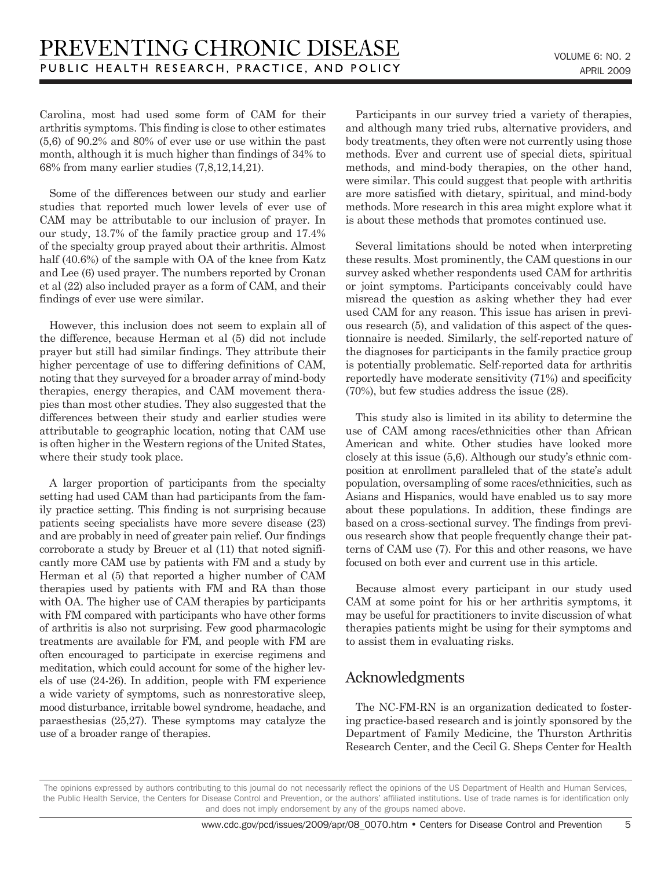Carolina, most had used some form of CAM for their arthritis symptoms. This finding is close to other estimates (5,6) of 90.2% and 80% of ever use or use within the past month, although it is much higher than findings of 34% to 68% from many earlier studies (7,8,12,14,21).

Some of the differences between our study and earlier studies that reported much lower levels of ever use of CAM may be attributable to our inclusion of prayer. In our study, 13.7% of the family practice group and 17.4% of the specialty group prayed about their arthritis. Almost half (40.6%) of the sample with OA of the knee from Katz and Lee (6) used prayer. The numbers reported by Cronan et al (22) also included prayer as a form of CAM, and their findings of ever use were similar.

However, this inclusion does not seem to explain all of the difference, because Herman et al (5) did not include prayer but still had similar findings. They attribute their higher percentage of use to differing definitions of CAM, noting that they surveyed for a broader array of mind-body therapies, energy therapies, and CAM movement therapies than most other studies. They also suggested that the differences between their study and earlier studies were attributable to geographic location, noting that CAM use is often higher in the Western regions of the United States, where their study took place.

A larger proportion of participants from the specialty setting had used CAM than had participants from the family practice setting. This finding is not surprising because patients seeing specialists have more severe disease (23) and are probably in need of greater pain relief. Our findings corroborate a study by Breuer et al (11) that noted significantly more CAM use by patients with FM and a study by Herman et al (5) that reported a higher number of CAM therapies used by patients with FM and RA than those with OA. The higher use of CAM therapies by participants with FM compared with participants who have other forms of arthritis is also not surprising. Few good pharmacologic treatments are available for FM, and people with FM are often encouraged to participate in exercise regimens and meditation, which could account for some of the higher levels of use (24-26). In addition, people with FM experience a wide variety of symptoms, such as nonrestorative sleep, mood disturbance, irritable bowel syndrome, headache, and paraesthesias (25,27). These symptoms may catalyze the use of a broader range of therapies.

Participants in our survey tried a variety of therapies, and although many tried rubs, alternative providers, and body treatments, they often were not currently using those methods. Ever and current use of special diets, spiritual methods, and mind-body therapies, on the other hand, were similar. This could suggest that people with arthritis are more satisfied with dietary, spiritual, and mind-body methods. More research in this area might explore what it is about these methods that promotes continued use.

Several limitations should be noted when interpreting these results. Most prominently, the CAM questions in our survey asked whether respondents used CAM for arthritis or joint symptoms. Participants conceivably could have misread the question as asking whether they had ever used CAM for any reason. This issue has arisen in previous research (5), and validation of this aspect of the questionnaire is needed. Similarly, the self-reported nature of the diagnoses for participants in the family practice group is potentially problematic. Self-reported data for arthritis reportedly have moderate sensitivity (71%) and specificity (70%), but few studies address the issue (28).

This study also is limited in its ability to determine the use of CAM among races/ethnicities other than African American and white. Other studies have looked more closely at this issue (5,6). Although our study's ethnic composition at enrollment paralleled that of the state's adult population, oversampling of some races/ethnicities, such as Asians and Hispanics, would have enabled us to say more about these populations. In addition, these findings are based on a cross-sectional survey. The findings from previous research show that people frequently change their patterns of CAM use (7). For this and other reasons, we have focused on both ever and current use in this article.

Because almost every participant in our study used CAM at some point for his or her arthritis symptoms, it may be useful for practitioners to invite discussion of what therapies patients might be using for their symptoms and to assist them in evaluating risks.

## Acknowledgments

The NC-FM-RN is an organization dedicated to fostering practice-based research and is jointly sponsored by the Department of Family Medicine, the Thurston Arthritis Research Center, and the Cecil G. Sheps Center for Health

The opinions expressed by authors contributing to this journal do not necessarily reflect the opinions of the US Department of Health and Human Services, the Public Health Service, the Centers for Disease Control and Prevention, or the authors' affiliated institutions. Use of trade names is for identification only and does not imply endorsement by any of the groups named above.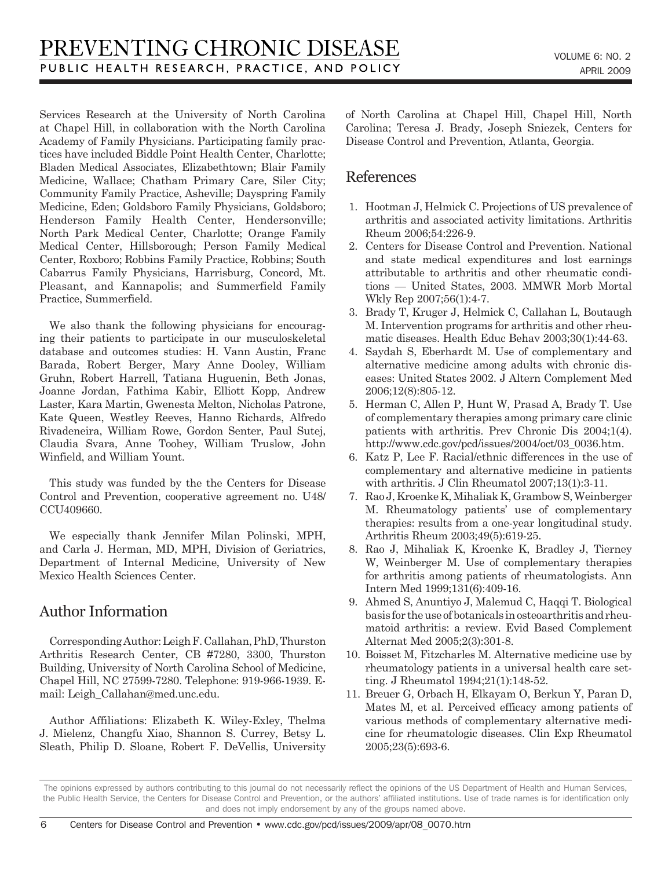Services Research at the University of North Carolina at Chapel Hill, in collaboration with the North Carolina Academy of Family Physicians. Participating family practices have included Biddle Point Health Center, Charlotte; Bladen Medical Associates, Elizabethtown; Blair Family Medicine, Wallace; Chatham Primary Care, Siler City; Community Family Practice, Asheville; Dayspring Family Medicine, Eden; Goldsboro Family Physicians, Goldsboro; Henderson Family Health Center, Hendersonville; North Park Medical Center, Charlotte; Orange Family Medical Center, Hillsborough; Person Family Medical Center, Roxboro; Robbins Family Practice, Robbins; South Cabarrus Family Physicians, Harrisburg, Concord, Mt. Pleasant, and Kannapolis; and Summerfield Family Practice, Summerfield.

We also thank the following physicians for encouraging their patients to participate in our musculoskeletal database and outcomes studies: H. Vann Austin, Franc Barada, Robert Berger, Mary Anne Dooley, William Gruhn, Robert Harrell, Tatiana Huguenin, Beth Jonas, Joanne Jordan, Fathima Kabir, Elliott Kopp, Andrew Laster, Kara Martin, Gwenesta Melton, Nicholas Patrone, Kate Queen, Westley Reeves, Hanno Richards, Alfredo Rivadeneira, William Rowe, Gordon Senter, Paul Sutej, Claudia Svara, Anne Toohey, William Truslow, John Winfield, and William Yount.

This study was funded by the the Centers for Disease Control and Prevention, cooperative agreement no. U48/ CCU409660.

We especially thank Jennifer Milan Polinski, MPH, and Carla J. Herman, MD, MPH, Division of Geriatrics, Department of Internal Medicine, University of New Mexico Health Sciences Center.

## Author Information

Corresponding Author: Leigh F. Callahan, PhD, Thurston Arthritis Research Center, CB #7280, 3300, Thurston Building, University of North Carolina School of Medicine, Chapel Hill, NC 27599-7280. Telephone: 919-966-1939. Email: Leigh\_Callahan@med.unc.edu.

Author Affiliations: Elizabeth K. Wiley-Exley, Thelma J. Mielenz, Changfu Xiao, Shannon S. Currey, Betsy L. Sleath, Philip D. Sloane, Robert F. DeVellis, University of North Carolina at Chapel Hill, Chapel Hill, North Carolina; Teresa J. Brady, Joseph Sniezek, Centers for Disease Control and Prevention, Atlanta, Georgia.

## References

- 1. Hootman J, Helmick C. Projections of US prevalence of arthritis and associated activity limitations. Arthritis Rheum 2006;54:226-9.
- 2. Centers for Disease Control and Prevention. National and state medical expenditures and lost earnings attributable to arthritis and other rheumatic conditions — United States, 2003. MMWR Morb Mortal Wkly Rep 2007;56(1):4-7.
- 3. Brady T, Kruger J, Helmick C, Callahan L, Boutaugh M. Intervention programs for arthritis and other rheumatic diseases. Health Educ Behav 2003;30(1):44-63.
- 4. Saydah S, Eberhardt M. Use of complementary and alternative medicine among adults with chronic diseases: United States 2002. J Altern Complement Med 2006;12(8):805-12.
- 5. Herman C, Allen P, Hunt W, Prasad A, Brady T. Use of complementary therapies among primary care clinic patients with arthritis. Prev Chronic Dis 2004;1(4). http://www.cdc.gov/pcd/issues/2004/oct/03\_0036.htm.
- 6. Katz P, Lee F. Racial/ethnic differences in the use of complementary and alternative medicine in patients with arthritis. J Clin Rheumatol 2007;13(1):3-11.
- 7. Rao J, Kroenke K, Mihaliak K, Grambow S, Weinberger M. Rheumatology patients' use of complementary therapies: results from a one-year longitudinal study. Arthritis Rheum 2003;49(5):619-25.
- 8. Rao J, Mihaliak K, Kroenke K, Bradley J, Tierney W, Weinberger M. Use of complementary therapies for arthritis among patients of rheumatologists. Ann Intern Med 1999;131(6):409-16.
- 9. Ahmed S, Anuntiyo J, Malemud C, Haqqi T. Biological basis for the use of botanicals in osteoarthritis and rheumatoid arthritis: a review. Evid Based Complement Alternat Med 2005;2(3):301-8.
- 10. Boisset M, Fitzcharles M. Alternative medicine use by rheumatology patients in a universal health care setting. J Rheumatol 1994;21(1):148-52.
- 11. Breuer G, Orbach H, Elkayam O, Berkun Y, Paran D, Mates M, et al. Perceived efficacy among patients of various methods of complementary alternative medicine for rheumatologic diseases. Clin Exp Rheumatol 2005;23(5):693-6.

The opinions expressed by authors contributing to this journal do not necessarily reflect the opinions of the US Department of Health and Human Services, the Public Health Service, the Centers for Disease Control and Prevention, or the authors' affiliated institutions. Use of trade names is for identification only and does not imply endorsement by any of the groups named above.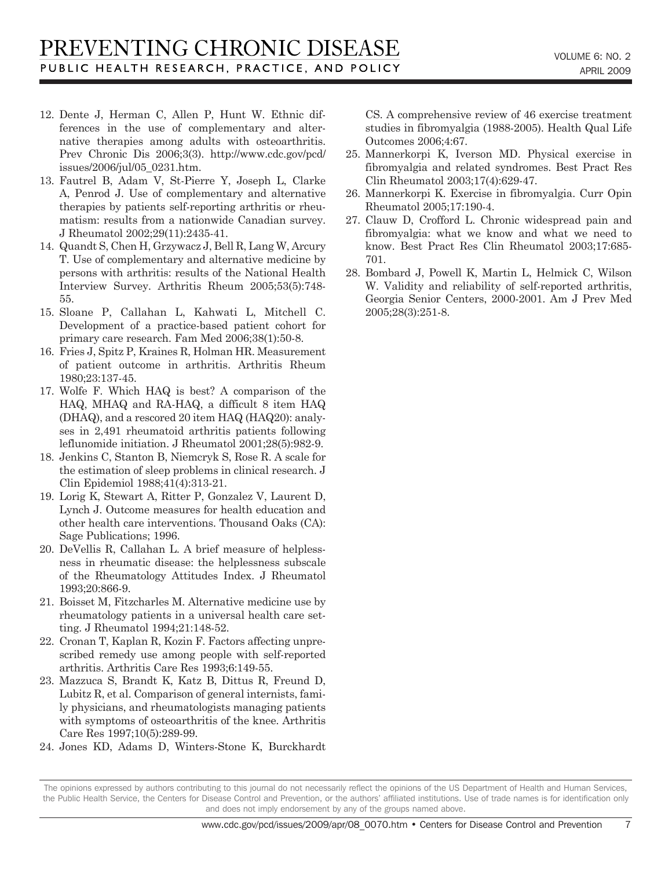- 12. Dente J, Herman C, Allen P, Hunt W. Ethnic differences in the use of complementary and alternative therapies among adults with osteoarthritis. Prev Chronic Dis 2006;3(3). http://www.cdc.gov/pcd/ issues/2006/jul/05\_0231.htm.
- 13. Fautrel B, Adam V, St-Pierre Y, Joseph L, Clarke A, Penrod J. Use of complementary and alternative therapies by patients self-reporting arthritis or rheumatism: results from a nationwide Canadian survey. J Rheumatol 2002;29(11):2435-41.
- 14. Quandt S, Chen H, Grzywacz J, Bell R, Lang W, Arcury T. Use of complementary and alternative medicine by persons with arthritis: results of the National Health Interview Survey. Arthritis Rheum 2005;53(5):748- 55.
- 15. Sloane P, Callahan L, Kahwati L, Mitchell C. Development of a practice-based patient cohort for primary care research. Fam Med 2006;38(1):50-8.
- 16. Fries J, Spitz P, Kraines R, Holman HR. Measurement of patient outcome in arthritis. Arthritis Rheum 1980;23:137-45.
- 17. Wolfe F. Which HAQ is best? A comparison of the HAQ, MHAQ and RA-HAQ, a difficult 8 item HAQ (DHAQ), and a rescored 20 item HAQ (HAQ20): analyses in 2,491 rheumatoid arthritis patients following leflunomide initiation. J Rheumatol 2001;28(5):982-9.
- 18. Jenkins C, Stanton B, Niemcryk S, Rose R. A scale for the estimation of sleep problems in clinical research. J Clin Epidemiol 1988;41(4):313-21.
- 19. Lorig K, Stewart A, Ritter P, Gonzalez V, Laurent D, Lynch J. Outcome measures for health education and other health care interventions. Thousand Oaks (CA): Sage Publications; 1996.
- 20. DeVellis R, Callahan L. A brief measure of helplessness in rheumatic disease: the helplessness subscale of the Rheumatology Attitudes Index. J Rheumatol 1993;20:866-9.
- 21. Boisset M, Fitzcharles M. Alternative medicine use by rheumatology patients in a universal health care setting. J Rheumatol 1994;21:148-52.
- 22. Cronan T, Kaplan R, Kozin F. Factors affecting unprescribed remedy use among people with self-reported arthritis. Arthritis Care Res 1993;6:149-55.
- 23. Mazzuca S, Brandt K, Katz B, Dittus R, Freund D, Lubitz R, et al. Comparison of general internists, family physicians, and rheumatologists managing patients with symptoms of osteoarthritis of the knee. Arthritis Care Res 1997;10(5):289-99.
- 24. Jones KD, Adams D, Winters-Stone K, Burckhardt

CS. A comprehensive review of 46 exercise treatment studies in fibromyalgia (1988-2005). Health Qual Life Outcomes 2006;4:67.

- 25. Mannerkorpi K, Iverson MD. Physical exercise in fibromyalgia and related syndromes. Best Pract Res Clin Rheumatol 2003;17(4):629-47.
- 26. Mannerkorpi K. Exercise in fibromyalgia. Curr Opin Rheumatol 2005;17:190-4.
- 27. Clauw D, Crofford L. Chronic widespread pain and fibromyalgia: what we know and what we need to know. Best Pract Res Clin Rheumatol 2003;17:685- 701.
- 28. Bombard J, Powell K, Martin L, Helmick C, Wilson W. Validity and reliability of self-reported arthritis, Georgia Senior Centers, 2000-2001. Am J Prev Med 2005;28(3):251-8.

The opinions expressed by authors contributing to this journal do not necessarily reflect the opinions of the US Department of Health and Human Services, the Public Health Service, the Centers for Disease Control and Prevention, or the authors' affiliated institutions. Use of trade names is for identification only and does not imply endorsement by any of the groups named above.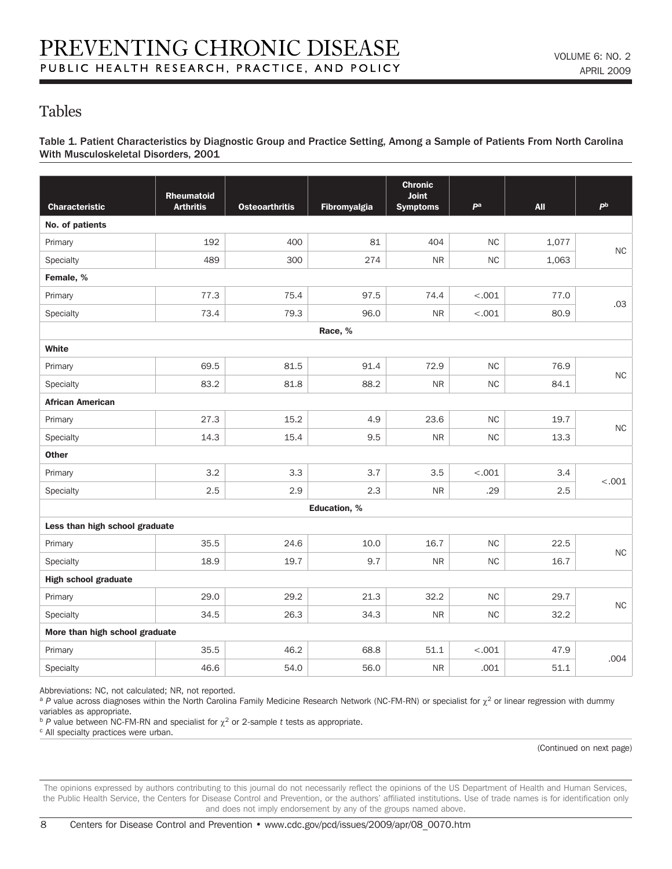## Tables

Table 1. Patient Characteristics by Diagnostic Group and Practice Setting, Among a Sample of Patients From North Carolina With Musculoskeletal Disorders, 2001

|                                |                                       |                       |                     | <b>Chronic</b>           |           |            |           |  |  |
|--------------------------------|---------------------------------------|-----------------------|---------------------|--------------------------|-----------|------------|-----------|--|--|
| <b>Characteristic</b>          | <b>Rheumatoid</b><br><b>Arthritis</b> | <b>Osteoarthritis</b> | Fibromyalgia        | Joint<br><b>Symptoms</b> | pa        | <b>All</b> | pb        |  |  |
| No. of patients                |                                       |                       |                     |                          |           |            |           |  |  |
| Primary                        | 192                                   | 400                   | 81                  | 404                      | NC        | 1,077      |           |  |  |
| Specialty                      | 489                                   | 300                   | 274                 | <b>NR</b>                | <b>NC</b> | 1,063      | <b>NC</b> |  |  |
| Female, %                      |                                       |                       |                     |                          |           |            |           |  |  |
| Primary                        | 77.3                                  | 75.4                  | 97.5                | 74.4                     | $-.001$   | 77.0       |           |  |  |
| Specialty                      | 73.4                                  | 79.3                  | 96.0                | <b>NR</b>                | < .001    | 80.9       | .03       |  |  |
|                                |                                       |                       | Race, %             |                          |           |            |           |  |  |
| White                          |                                       |                       |                     |                          |           |            |           |  |  |
| Primary                        | 69.5                                  | 81.5                  | 91.4                | 72.9                     | <b>NC</b> | 76.9       | $\sf NC$  |  |  |
| Specialty                      | 83.2                                  | 81.8                  | 88.2                | ${\sf NR}$               | <b>NC</b> | 84.1       |           |  |  |
| <b>African American</b>        |                                       |                       |                     |                          |           |            |           |  |  |
| Primary                        | 27.3                                  | 15.2                  | 4.9                 | 23.6                     | <b>NC</b> | 19.7       | $\sf NC$  |  |  |
| Specialty                      | 14.3                                  | 15.4                  | 9.5                 | <b>NR</b>                | $\sf NC$  | 13.3       |           |  |  |
| <b>Other</b>                   |                                       |                       |                     |                          |           |            |           |  |  |
| Primary                        | 3.2                                   | 3.3                   | 3.7                 | 3.5                      | $-.001$   | 3.4        | < .001    |  |  |
| Specialty                      | 2.5                                   | 2.9                   | 2.3                 | <b>NR</b>                | .29       | 2.5        |           |  |  |
|                                |                                       |                       | <b>Education, %</b> |                          |           |            |           |  |  |
| Less than high school graduate |                                       |                       |                     |                          |           |            |           |  |  |
| Primary                        | 35.5                                  | 24.6                  | 10.0                | 16.7                     | <b>NC</b> | 22.5       | $\sf NC$  |  |  |
| Specialty                      | 18.9                                  | 19.7                  | 9.7                 | <b>NR</b>                | $\sf NC$  | 16.7       |           |  |  |
| <b>High school graduate</b>    |                                       |                       |                     |                          |           |            |           |  |  |
| Primary                        | 29.0                                  | 29.2                  | 21.3                | 32.2                     | <b>NC</b> | 29.7       | $\sf NC$  |  |  |
| Specialty                      | 34.5                                  | 26.3                  | 34.3                | ${\sf NR}$               | $\sf NC$  | 32.2       |           |  |  |
| More than high school graduate |                                       |                       |                     |                          |           |            |           |  |  |
| Primary                        | 35.5                                  | 46.2                  | 68.8                | 51.1                     | < .001    | 47.9       | .004      |  |  |
| Specialty                      | 46.6                                  | 54.0                  | 56.0                | ${\sf NR}$               | .001      | 51.1       |           |  |  |

Abbreviations: NC, not calculated; NR, not reported.

<sup>a</sup> *P* value across diagnoses within the North Carolina Family Medicine Research Network (NC-FM-RN) or specialist for χ<sup>2</sup> or linear regression with dummy variables as appropriate.

<sup>b</sup> *P* value between NC-FM-RN and specialist for  $\chi^2$  or 2-sample *t* tests as appropriate.

c All specialty practices were urban.

(Continued on next page)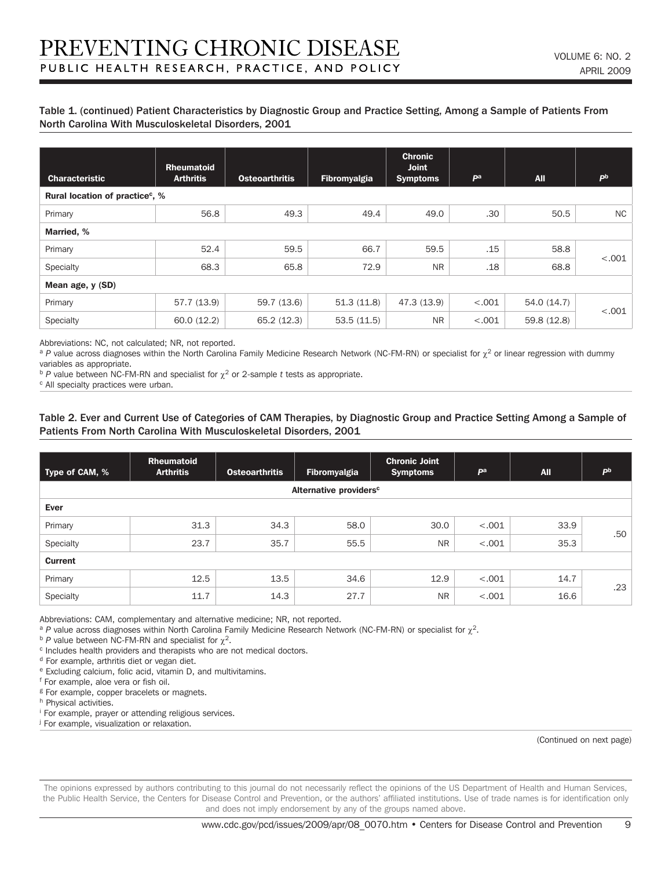#### Table 1. (continued) Patient Characteristics by Diagnostic Group and Practice Setting, Among a Sample of Patients From North Carolina With Musculoskeletal Disorders, 2001

| <b>Characteristic</b>                       | <b>Rheumatoid</b><br><b>Arthritis</b> | <b>Osteoarthritis</b> | Fibromyalgia | <b>Chronic</b><br><b>Joint</b><br><b>Symptoms</b> | P <sup>a</sup> | <b>All</b>  | <b>Ph</b> |  |  |
|---------------------------------------------|---------------------------------------|-----------------------|--------------|---------------------------------------------------|----------------|-------------|-----------|--|--|
| Rural location of practice <sup>c</sup> , % |                                       |                       |              |                                                   |                |             |           |  |  |
| Primary                                     | 56.8                                  | 49.3                  | 49.4         | 49.0                                              | .30            | 50.5        | NC.       |  |  |
| Married, %                                  |                                       |                       |              |                                                   |                |             |           |  |  |
| Primary                                     | 52.4                                  | 59.5                  | 66.7         | 59.5                                              | .15            | 58.8        |           |  |  |
| Specialty                                   | 68.3                                  | 65.8                  | 72.9         | <b>NR</b>                                         | .18            | 68.8        | < .001    |  |  |
| Mean age, y (SD)                            |                                       |                       |              |                                                   |                |             |           |  |  |
| Primary                                     | 57.7 (13.9)                           | 59.7 (13.6)           | 51.3(11.8)   | 47.3 (13.9)                                       | < .001         | 54.0 (14.7) |           |  |  |
| Specialty                                   | 60.0(12.2)                            | 65.2 (12.3)           | 53.5(11.5)   | <b>NR</b>                                         | < .001         | 59.8 (12.8) | < .001    |  |  |

Abbreviations: NC, not calculated; NR, not reported.

<sup>a</sup> P value across diagnoses within the North Carolina Family Medicine Research Network (NC-FM-RN) or specialist for  $\chi^2$  or linear regression with dummy variables as appropriate.

 $b$  *P* value between NC-FM-RN and specialist for  $\chi^2$  or 2-sample *t* tests as appropriate.

c All specialty practices were urban.

#### Table 2. Ever and Current Use of Categories of CAM Therapies, by Diagnostic Group and Practice Setting Among a Sample of Patients From North Carolina With Musculoskeletal Disorders, 2001

| Type of CAM, % | <b>Rheumatoid</b><br><b>Arthritis</b> | <b>Osteoarthritis</b> | Fibromyalgia                       | <b>Chronic Joint</b><br><b>Symptoms</b> | Pa      | <b>All</b> | <b>Ph</b> |
|----------------|---------------------------------------|-----------------------|------------------------------------|-----------------------------------------|---------|------------|-----------|
|                |                                       |                       | Alternative providers <sup>c</sup> |                                         |         |            |           |
| Ever           |                                       |                       |                                    |                                         |         |            |           |
| Primary        | 31.3                                  | 34.3                  | 58.0                               | 30.0                                    | < .001  | 33.9       |           |
| Specialty      | 23.7                                  | 35.7                  | 55.5                               | <b>NR</b>                               | $-.001$ | 35.3       | .50       |
| <b>Current</b> |                                       |                       |                                    |                                         |         |            |           |
| Primary        | 12.5                                  | 13.5                  | 34.6                               | 12.9                                    | < .001  | 14.7       |           |
| Specialty      | 11.7                                  | 14.3                  | 27.7                               | <b>NR</b>                               | < .001  | 16.6       | .23       |

Abbreviations: CAM, complementary and alternative medicine; NR, not reported.

<sup>a</sup> *P* value across diagnoses within North Carolina Family Medicine Research Network (NC-FM-RN) or specialist for χ<sup>2</sup>.

<sup>b</sup> *P* value between NC-FM-RN and specialist for  $\chi^2$ .

c Includes health providers and therapists who are not medical doctors.

<sup>d</sup> For example, arthritis diet or vegan diet.

e Excluding calcium, folic acid, vitamin D, and multivitamins.

f For example, aloe vera or fish oil.

<sup>g</sup> For example, copper bracelets or magnets.

h Physical activities.

i For example, prayer or attending religious services.

j For example, visualization or relaxation.

(Continued on next page)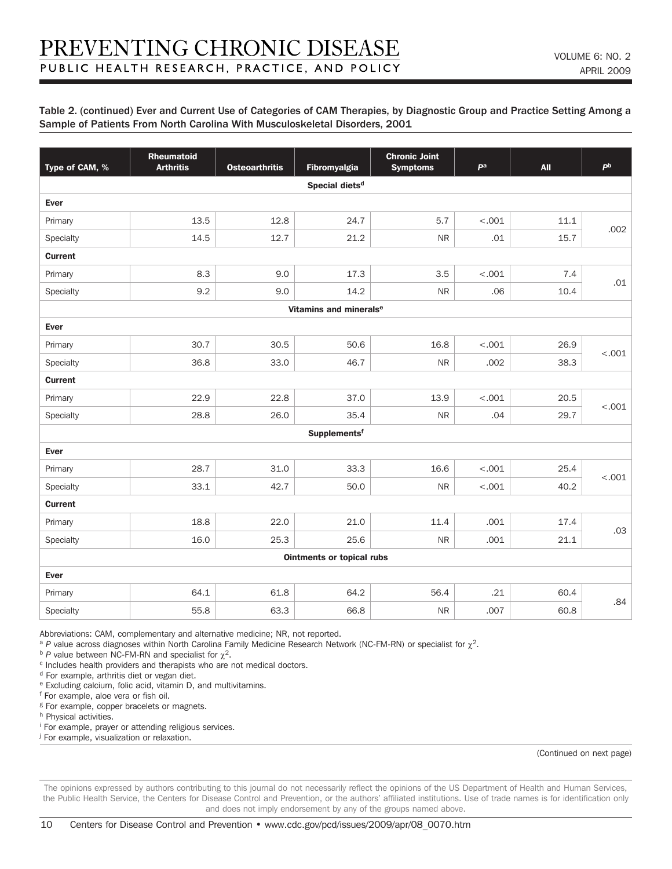#### Table 2. (continued) Ever and Current Use of Categories of CAM Therapies, by Diagnostic Group and Practice Setting Among a Sample of Patients From North Carolina With Musculoskeletal Disorders, 2001

| Type of CAM, %                     | <b>Rheumatoid</b><br><b>Arthritis</b> | <b>Osteoarthritis</b> | Fibromyalgia                     | <b>Chronic Joint</b><br><b>Symptoms</b> | pa      | <b>All</b> | P <sub>b</sub> |  |  |  |
|------------------------------------|---------------------------------------|-----------------------|----------------------------------|-----------------------------------------|---------|------------|----------------|--|--|--|
|                                    |                                       |                       | Special diets <sup>d</sup>       |                                         |         |            |                |  |  |  |
| Ever                               |                                       |                       |                                  |                                         |         |            |                |  |  |  |
| Primary                            | 13.5                                  | 12.8                  | 24.7                             | 5.7                                     | < .001  | 11.1       | .002           |  |  |  |
| Specialty                          | 14.5                                  | 12.7                  | 21.2                             | <b>NR</b>                               | .01     | 15.7       |                |  |  |  |
| <b>Current</b>                     |                                       |                       |                                  |                                         |         |            |                |  |  |  |
| Primary                            | 8.3                                   | 9.0                   | 17.3                             | 3.5                                     | < .001  | 7.4        | .01            |  |  |  |
| Specialty                          | 9.2                                   | 9.0                   | 14.2                             | ${\sf NR}$                              | .06     | 10.4       |                |  |  |  |
| Vitamins and minerals <sup>e</sup> |                                       |                       |                                  |                                         |         |            |                |  |  |  |
| Ever                               |                                       |                       |                                  |                                         |         |            |                |  |  |  |
| Primary                            | 30.7                                  | 30.5                  | 50.6                             | 16.8                                    | $-.001$ | 26.9       | < .001         |  |  |  |
| Specialty                          | 36.8                                  | 33.0                  | 46.7                             | ${\sf NR}$                              | .002    | 38.3       |                |  |  |  |
| <b>Current</b>                     |                                       |                       |                                  |                                         |         |            |                |  |  |  |
| Primary                            | 22.9                                  | 22.8                  | 37.0                             | 13.9                                    | < .001  | 20.5       | < .001         |  |  |  |
| Specialty                          | 28.8                                  | 26.0                  | 35.4                             | <b>NR</b>                               | .04     | 29.7       |                |  |  |  |
|                                    |                                       |                       | Supplementsf                     |                                         |         |            |                |  |  |  |
| Ever                               |                                       |                       |                                  |                                         |         |            |                |  |  |  |
| Primary                            | 28.7                                  | 31.0                  | 33.3                             | 16.6                                    | < .001  | 25.4       | $-.001$        |  |  |  |
| Specialty                          | 33.1                                  | 42.7                  | 50.0                             | ${\sf NR}$                              | $-.001$ | 40.2       |                |  |  |  |
| <b>Current</b>                     |                                       |                       |                                  |                                         |         |            |                |  |  |  |
| Primary                            | 18.8                                  | 22.0                  | 21.0                             | 11.4                                    | .001    | 17.4       | .03            |  |  |  |
| Specialty                          | 16.0                                  | 25.3                  | 25.6                             | <b>NR</b>                               | .001    | 21.1       |                |  |  |  |
|                                    |                                       |                       | <b>Ointments or topical rubs</b> |                                         |         |            |                |  |  |  |
| Ever                               |                                       |                       |                                  |                                         |         |            |                |  |  |  |
| Primary                            | 64.1                                  | 61.8                  | 64.2                             | 56.4                                    | .21     | 60.4       | .84            |  |  |  |
| Specialty                          | 55.8                                  | 63.3                  | 66.8                             | <b>NR</b>                               | .007    | 60.8       |                |  |  |  |

Abbreviations: CAM, complementary and alternative medicine; NR, not reported.

<sup>a</sup> *P* value across diagnoses within North Carolina Family Medicine Research Network (NC-FM-RN) or specialist for χ<sup>2</sup>.

<sup>b</sup> *P* value between NC-FM-RN and specialist for  $\chi^2$ .

c Includes health providers and therapists who are not medical doctors.

<sup>d</sup> For example, arthritis diet or vegan diet.

e Excluding calcium, folic acid, vitamin D, and multivitamins.

f For example, aloe vera or fish oil.

<sup>g</sup> For example, copper bracelets or magnets.

h Physical activities.

i For example, prayer or attending religious services.

j For example, visualization or relaxation.

(Continued on next page)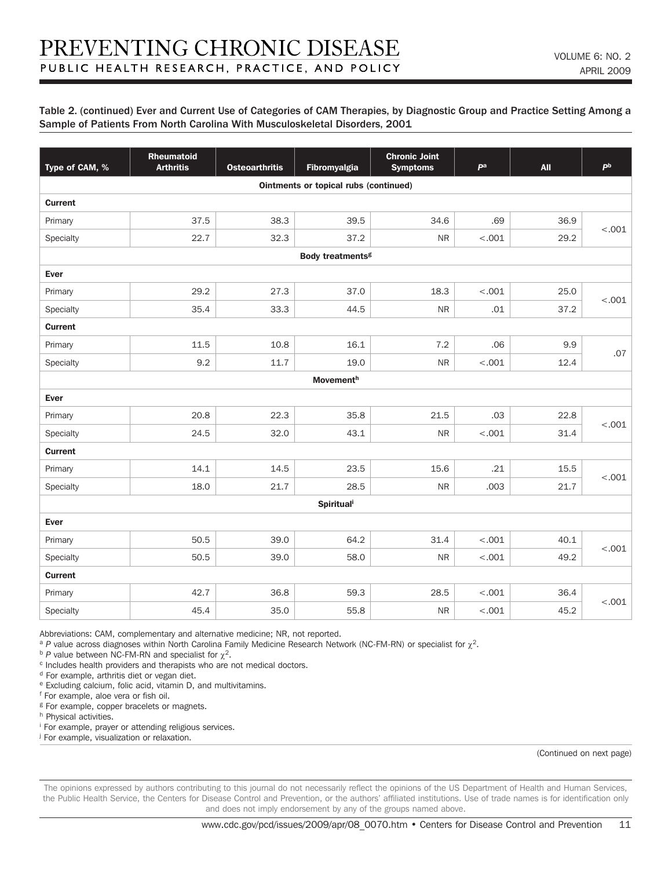#### Table 2. (continued) Ever and Current Use of Categories of CAM Therapies, by Diagnostic Group and Practice Setting Among a Sample of Patients From North Carolina With Musculoskeletal Disorders, 2001

| Type of CAM, % | <b>Rheumatoid</b><br><b>Arthritis</b> | <b>Osteoarthritis</b> | Fibromyalgia                          | <b>Chronic Joint</b><br><b>Symptoms</b> | pa      | <b>All</b> | P <sub>b</sub> |  |  |  |
|----------------|---------------------------------------|-----------------------|---------------------------------------|-----------------------------------------|---------|------------|----------------|--|--|--|
|                |                                       |                       | Ointments or topical rubs (continued) |                                         |         |            |                |  |  |  |
| <b>Current</b> |                                       |                       |                                       |                                         |         |            |                |  |  |  |
| Primary        | 37.5                                  | 38.3                  | 39.5                                  | 34.6                                    | .69     | 36.9       | $-.001$        |  |  |  |
| Specialty      | 22.7                                  | 32.3                  | 37.2                                  | <b>NR</b>                               | $-.001$ | 29.2       |                |  |  |  |
|                |                                       |                       | <b>Body treatments<sup>g</sup></b>    |                                         |         |            |                |  |  |  |
| Ever           |                                       |                       |                                       |                                         |         |            |                |  |  |  |
| Primary        | 29.2                                  | 27.3                  | 37.0                                  | 18.3                                    | $-.001$ | 25.0       |                |  |  |  |
| Specialty      | 35.4                                  | 33.3                  | 44.5                                  | <b>NR</b>                               | .01     | 37.2       | < .001         |  |  |  |
| <b>Current</b> |                                       |                       |                                       |                                         |         |            |                |  |  |  |
| Primary        | 11.5                                  | 10.8                  | 16.1                                  | 7.2                                     | .06     | 9.9        |                |  |  |  |
| Specialty      | 9.2                                   | 11.7                  | 19.0                                  | <b>NR</b>                               | < .001  | 12.4       | .07            |  |  |  |
|                | <b>Movementh</b>                      |                       |                                       |                                         |         |            |                |  |  |  |
| Ever           |                                       |                       |                                       |                                         |         |            |                |  |  |  |
| Primary        | 20.8                                  | 22.3                  | 35.8                                  | 21.5                                    | .03     | 22.8       |                |  |  |  |
| Specialty      | 24.5                                  | 32.0                  | 43.1                                  | $\sf NR$                                | $-.001$ | 31.4       | < .001         |  |  |  |
| <b>Current</b> |                                       |                       |                                       |                                         |         |            |                |  |  |  |
| Primary        | 14.1                                  | 14.5                  | 23.5                                  | 15.6                                    | .21     | 15.5       |                |  |  |  |
| Specialty      | 18.0                                  | 21.7                  | 28.5                                  | $\sf NR$                                | .003    | 21.7       | < .001         |  |  |  |
|                |                                       |                       | <b>Spiritual</b>                      |                                         |         |            |                |  |  |  |
| Ever           |                                       |                       |                                       |                                         |         |            |                |  |  |  |
| Primary        | 50.5                                  | 39.0                  | 64.2                                  | 31.4                                    | < .001  | 40.1       |                |  |  |  |
| Specialty      | 50.5                                  | 39.0                  | 58.0                                  | <b>NR</b>                               | $-.001$ | 49.2       | < .001         |  |  |  |
| <b>Current</b> |                                       |                       |                                       |                                         |         |            |                |  |  |  |
| Primary        | 42.7                                  | 36.8                  | 59.3                                  | 28.5                                    | < .001  | 36.4       |                |  |  |  |
| Specialty      | 45.4                                  | 35.0                  | 55.8                                  | <b>NR</b>                               | < .001  | 45.2       | $-.001$        |  |  |  |

Abbreviations: CAM, complementary and alternative medicine; NR, not reported.

<sup>a</sup> *P* value across diagnoses within North Carolina Family Medicine Research Network (NC-FM-RN) or specialist for χ<sup>2</sup>.

<sup>b</sup> *P* value between NC-FM-RN and specialist for  $\chi^2$ .

c Includes health providers and therapists who are not medical doctors.

<sup>d</sup> For example, arthritis diet or vegan diet.

e Excluding calcium, folic acid, vitamin D, and multivitamins.

f For example, aloe vera or fish oil.

<sup>g</sup> For example, copper bracelets or magnets.

h Physical activities.

i For example, prayer or attending religious services.

<sup>j</sup> For example, visualization or relaxation.

(Continued on next page)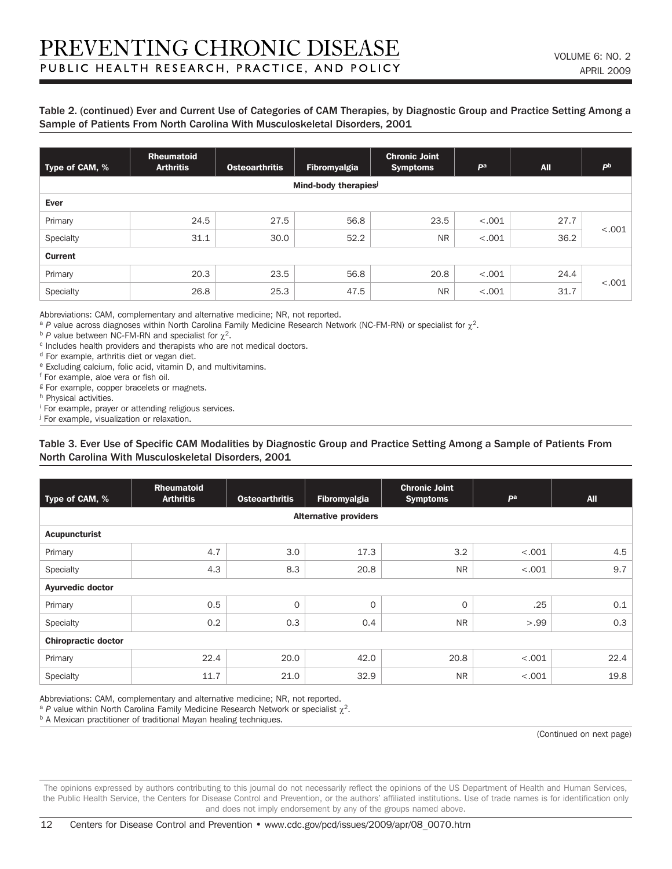#### Table 2. (continued) Ever and Current Use of Categories of CAM Therapies, by Diagnostic Group and Practice Setting Among a Sample of Patients From North Carolina With Musculoskeletal Disorders, 2001

| Type of CAM, % | <b>Rheumatoid</b><br><b>Arthritis</b> | <b>Osteoarthritis</b> | Fibromyalgia        | <b>Chronic Joint</b><br><b>Symptoms</b> | pa      | <b>All</b> | P <sub>b</sub> |
|----------------|---------------------------------------|-----------------------|---------------------|-----------------------------------------|---------|------------|----------------|
|                |                                       |                       | Mind-body therapies |                                         |         |            |                |
| Ever           |                                       |                       |                     |                                         |         |            |                |
| Primary        | 24.5                                  | 27.5                  | 56.8                | 23.5                                    | < .001  | 27.7       | $-.001$        |
| Specialty      | 31.1                                  | 30.0                  | 52.2                | <b>NR</b>                               | $-.001$ | 36.2       |                |
| <b>Current</b> |                                       |                       |                     |                                         |         |            |                |
| Primary        | 20.3                                  | 23.5                  | 56.8                | 20.8                                    | < .001  | 24.4       |                |
| Specialty      | 26.8                                  | 25.3                  | 47.5                | <b>NR</b>                               | $-.001$ | 31.7       | < .001         |

Abbreviations: CAM, complementary and alternative medicine; NR, not reported.

<sup>a</sup> *P* value across diagnoses within North Carolina Family Medicine Research Network (NC-FM-RN) or specialist for χ<sup>2</sup>.

 $<sup>b</sup>$  *P* value between NC-FM-RN and specialist for  $χ²$ .</sup>

c Includes health providers and therapists who are not medical doctors.

d For example, arthritis diet or vegan diet.

e Excluding calcium, folic acid, vitamin D, and multivitamins.

f For example, aloe vera or fish oil.

<sup>g</sup> For example, copper bracelets or magnets.

h Physical activities.

i For example, prayer or attending religious services.

j For example, visualization or relaxation.

#### Table 3. Ever Use of Specific CAM Modalities by Diagnostic Group and Practice Setting Among a Sample of Patients From North Carolina With Musculoskeletal Disorders, 2001

| Type of CAM, %             | <b>Rheumatoid</b><br><b>Arthritis</b> | <b>Osteoarthritis</b> | Fibromyalgia                 | <b>Chronic Joint</b><br><b>Symptoms</b> | P <sup>a</sup> | <b>All</b> |  |  |
|----------------------------|---------------------------------------|-----------------------|------------------------------|-----------------------------------------|----------------|------------|--|--|
|                            |                                       |                       | <b>Alternative providers</b> |                                         |                |            |  |  |
| <b>Acupuncturist</b>       |                                       |                       |                              |                                         |                |            |  |  |
| Primary                    | 4.7                                   | 3.0                   | 17.3                         | 3.2                                     | < .001         | 4.5        |  |  |
| Specialty                  | 4.3                                   | 8.3                   | 20.8                         | <b>NR</b>                               | < .001         | 9.7        |  |  |
| <b>Ayurvedic doctor</b>    |                                       |                       |                              |                                         |                |            |  |  |
| Primary                    | 0.5                                   | $\mathbf 0$           | 0                            | $\mathbf{O}$                            | .25            | 0.1        |  |  |
| Specialty                  | 0.2                                   | 0.3                   | 0.4                          | <b>NR</b>                               | >.99           | 0.3        |  |  |
| <b>Chiropractic doctor</b> |                                       |                       |                              |                                         |                |            |  |  |
| Primary                    | 22.4                                  | 20.0                  | 42.0                         | 20.8                                    | < .001         | 22.4       |  |  |
| Specialty                  | 11.7                                  | 21.0                  | 32.9                         | <b>NR</b>                               | < .001         | 19.8       |  |  |

Abbreviations: CAM, complementary and alternative medicine; NR, not reported.

<sup>a</sup> *P* value within North Carolina Family Medicine Research Network or specialist  $\chi^2$ .

b A Mexican practitioner of traditional Mayan healing techniques.

(Continued on next page)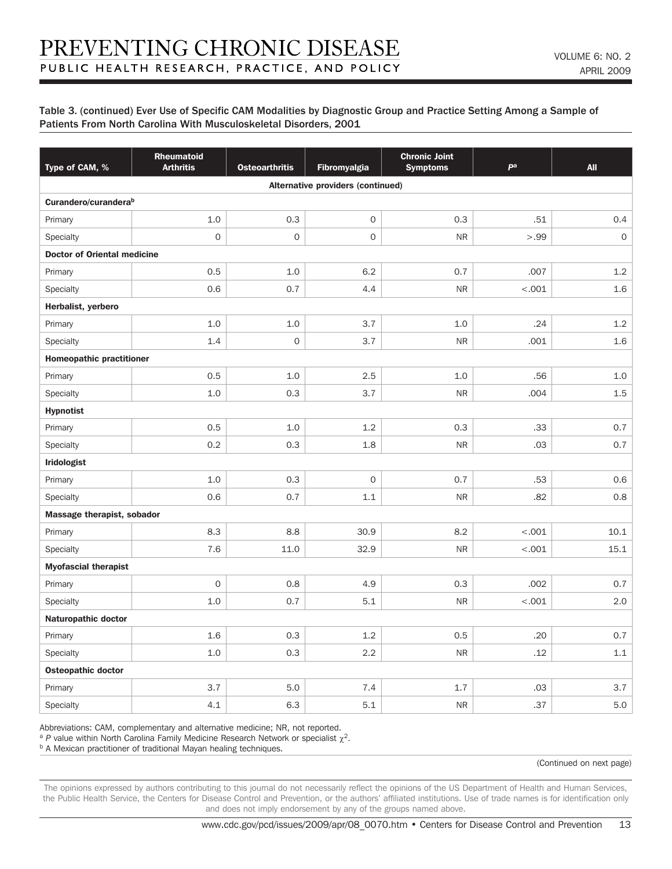| Type of CAM, %                   | Rheumatoid<br><b>Arthritis</b>     | <b>Osteoarthritis</b> | <b>Fibromyalgia</b>               | <b>Chronic Joint</b><br><b>Symptoms</b> | pa      | <b>All</b>          |  |  |  |
|----------------------------------|------------------------------------|-----------------------|-----------------------------------|-----------------------------------------|---------|---------------------|--|--|--|
|                                  |                                    |                       | Alternative providers (continued) |                                         |         |                     |  |  |  |
| Curandero/curandera <sup>b</sup> |                                    |                       |                                   |                                         |         |                     |  |  |  |
| Primary                          | 1.0                                | 0.3                   | $\mathsf{O}\xspace$               | 0.3                                     | .51     | 0.4                 |  |  |  |
| Specialty                        | $\mathsf{O}\xspace$                | $\mathbf 0$           | $\mathsf{O}\xspace$               | <b>NR</b>                               | >.99    | $\mathsf{O}\xspace$ |  |  |  |
|                                  | <b>Doctor of Oriental medicine</b> |                       |                                   |                                         |         |                     |  |  |  |
| Primary                          | 0.5                                | 1.0                   | 6.2                               | 0.7                                     | .007    | 1.2                 |  |  |  |
| Specialty                        | 0.6                                | 0.7                   | 4.4                               | <b>NR</b>                               | $-.001$ | 1.6                 |  |  |  |
| Herbalist, yerbero               |                                    |                       |                                   |                                         |         |                     |  |  |  |
| Primary                          | 1.0                                | 1.0                   | 3.7                               | 1.0                                     | .24     | 1.2                 |  |  |  |
| Specialty                        | 1.4                                | $\mathsf{O}\xspace$   | 3.7                               | <b>NR</b>                               | .001    | 1.6                 |  |  |  |
| <b>Homeopathic practitioner</b>  |                                    |                       |                                   |                                         |         |                     |  |  |  |
| Primary                          | 0.5                                | 1.0                   | 2.5                               | 1.0                                     | .56     | 1.0                 |  |  |  |
| Specialty                        | 1.0                                | 0.3                   | 3.7                               | ${\sf NR}$                              | .004    | 1.5                 |  |  |  |
| <b>Hypnotist</b>                 |                                    |                       |                                   |                                         |         |                     |  |  |  |
| Primary                          | 0.5                                | 1.0                   | 1.2                               | 0.3                                     | .33     | 0.7                 |  |  |  |
| Specialty                        | 0.2                                | 0.3                   | 1.8                               | <b>NR</b>                               | .03     | 0.7                 |  |  |  |
| <b>Iridologist</b>               |                                    |                       |                                   |                                         |         |                     |  |  |  |
| Primary                          | 1.0                                | 0.3                   | $\mathbf 0$                       | 0.7                                     | .53     | 0.6                 |  |  |  |
| Specialty                        | 0.6                                | 0.7                   | 1.1                               | <b>NR</b>                               | .82     | 0.8                 |  |  |  |
| Massage therapist, sobador       |                                    |                       |                                   |                                         |         |                     |  |  |  |
| Primary                          | 8.3                                | 8.8                   | 30.9                              | 8.2                                     | < .001  | 10.1                |  |  |  |
| Specialty                        | 7.6                                | 11.0                  | 32.9                              | <b>NR</b>                               | $-.001$ | 15.1                |  |  |  |
| <b>Myofascial therapist</b>      |                                    |                       |                                   |                                         |         |                     |  |  |  |
| Primary                          | $\mathsf{O}\xspace$                | 0.8                   | 4.9                               | 0.3                                     | .002    | 0.7                 |  |  |  |
| Specialty                        | 1.0                                | 0.7                   | 5.1                               | <b>NR</b>                               | < .001  | 2.0                 |  |  |  |
| <b>Naturopathic doctor</b>       |                                    |                       |                                   |                                         |         |                     |  |  |  |
| Primary                          | 1.6                                | 0.3                   | 1.2                               | 0.5                                     | .20     | 0.7                 |  |  |  |
| Specialty                        | 1.0                                | 0.3                   | 2.2                               | <b>NR</b>                               | .12     | 1.1                 |  |  |  |
| <b>Osteopathic doctor</b>        |                                    |                       |                                   |                                         |         |                     |  |  |  |
| Primary                          | 3.7                                | 5.0                   | 7.4                               | 1.7                                     | .03     | 3.7                 |  |  |  |
| Specialty                        | 4.1                                | 6.3                   | 5.1                               | <b>NR</b>                               | .37     | 5.0                 |  |  |  |

Abbreviations: CAM, complementary and alternative medicine; NR, not reported.

<sup>a</sup> *P* value within North Carolina Family Medicine Research Network or specialist  $\chi^2$ .

**b** A Mexican practitioner of traditional Mayan healing techniques.

(Continued on next page)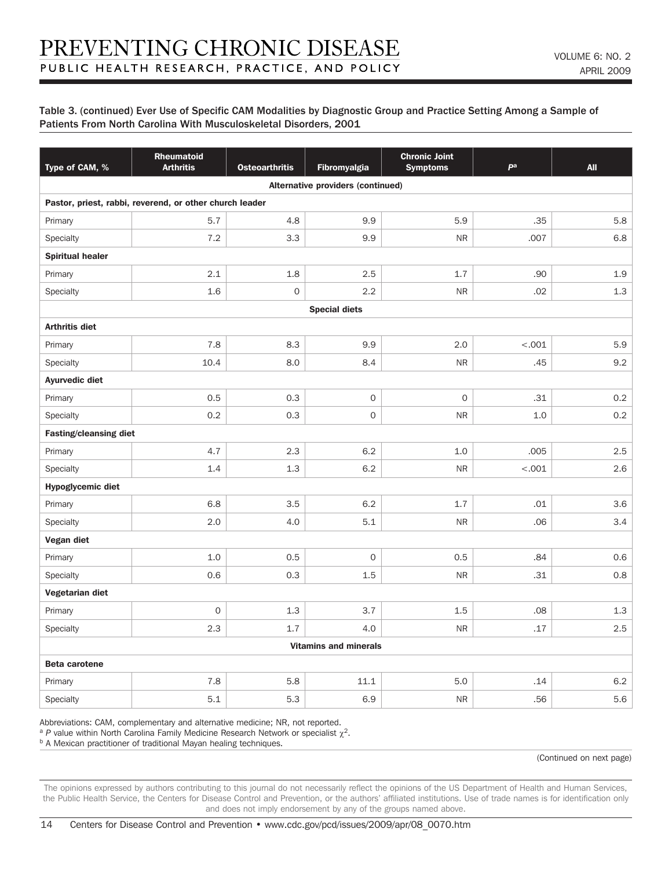| Type of CAM, %                | Rheumatoid<br><b>Arthritis</b>                          | <b>Osteoarthritis</b> | <b>Fibromyalgia</b>               | <b>Chronic Joint</b><br><b>Symptoms</b> | pa      | <b>All</b> |  |  |
|-------------------------------|---------------------------------------------------------|-----------------------|-----------------------------------|-----------------------------------------|---------|------------|--|--|
|                               |                                                         |                       | Alternative providers (continued) |                                         |         |            |  |  |
|                               | Pastor, priest, rabbi, reverend, or other church leader |                       |                                   |                                         |         |            |  |  |
| Primary                       | 5.7                                                     | 4.8                   | 9.9                               | 5.9                                     | .35     | 5.8        |  |  |
| Specialty                     | 7.2                                                     | 3.3                   | 9.9                               | <b>NR</b>                               | .007    | 6.8        |  |  |
| <b>Spiritual healer</b>       |                                                         |                       |                                   |                                         |         |            |  |  |
| Primary                       | 2.1                                                     | 1.8                   | 2.5                               | 1.7                                     | .90     | 1.9        |  |  |
| Specialty                     | 1.6                                                     | $\mathbf 0$           | 2.2                               | <b>NR</b>                               | .02     | 1.3        |  |  |
| <b>Special diets</b>          |                                                         |                       |                                   |                                         |         |            |  |  |
| <b>Arthritis diet</b>         |                                                         |                       |                                   |                                         |         |            |  |  |
| Primary                       | 7.8                                                     | 8.3                   | 9.9                               | 2.0                                     | < .001  | 5.9        |  |  |
| Specialty                     | 10.4                                                    | 8.0                   | 8.4                               | ${\sf NR}$                              | .45     | 9.2        |  |  |
| <b>Ayurvedic diet</b>         |                                                         |                       |                                   |                                         |         |            |  |  |
| Primary                       | 0.5                                                     | 0.3                   | $\mathsf O$                       | $\mathbf 0$                             | .31     | 0.2        |  |  |
| Specialty                     | 0.2                                                     | 0.3                   | $\mathbf{O}$                      | ${\sf NR}$                              | 1.0     | 0.2        |  |  |
| <b>Fasting/cleansing diet</b> |                                                         |                       |                                   |                                         |         |            |  |  |
| Primary                       | 4.7                                                     | 2.3                   | 6.2                               | 1.0                                     | .005    | 2.5        |  |  |
| Specialty                     | 1.4                                                     | 1.3                   | 6.2                               | ${\sf NR}$                              | $-.001$ | 2.6        |  |  |
| <b>Hypoglycemic diet</b>      |                                                         |                       |                                   |                                         |         |            |  |  |
| Primary                       | 6.8                                                     | 3.5                   | 6.2                               | 1.7                                     | .01     | 3.6        |  |  |
| Specialty                     | 2.0                                                     | 4.0                   | 5.1                               | ${\sf NR}$                              | .06     | 3.4        |  |  |
| Vegan diet                    |                                                         |                       |                                   |                                         |         |            |  |  |
| Primary                       | 1.0                                                     | 0.5                   | $\mathbf{O}$                      | 0.5                                     | .84     | 0.6        |  |  |
| Specialty                     | 0.6                                                     | 0.3                   | 1.5                               | ${\sf NR}$                              | .31     | 0.8        |  |  |
| Vegetarian diet               |                                                         |                       |                                   |                                         |         |            |  |  |
| Primary                       | $\mathsf{O}\xspace$                                     | 1.3                   | 3.7                               | 1.5                                     | .08     | 1.3        |  |  |
| Specialty                     | 2.3                                                     | 1.7                   | 4.0                               | <b>NR</b>                               | .17     | 2.5        |  |  |
|                               |                                                         |                       | <b>Vitamins and minerals</b>      |                                         |         |            |  |  |
| <b>Beta carotene</b>          |                                                         |                       |                                   |                                         |         |            |  |  |
| Primary                       | 7.8                                                     | 5.8                   | 11.1                              | 5.0                                     | .14     | 6.2        |  |  |
| Specialty                     | 5.1                                                     | 5.3                   | 6.9                               | <b>NR</b>                               | .56     | 5.6        |  |  |

Abbreviations: CAM, complementary and alternative medicine; NR, not reported.

<sup>a</sup> *P* value within North Carolina Family Medicine Research Network or specialist  $\chi^2$ .

**b A Mexican practitioner of traditional Mayan healing techniques.** 

(Continued on next page)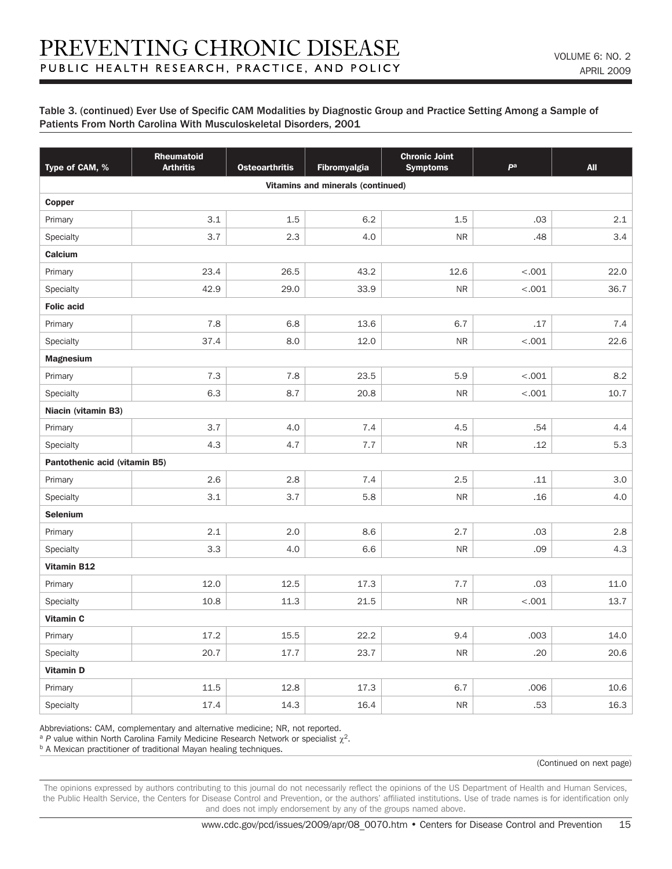| Type of CAM, %                | Rheumatoid<br><b>Arthritis</b> | <b>Osteoarthritis</b> | <b>Fibromyalgia</b>                      | <b>Chronic Joint</b><br><b>Symptoms</b> | pa      | <b>All</b> |  |  |  |
|-------------------------------|--------------------------------|-----------------------|------------------------------------------|-----------------------------------------|---------|------------|--|--|--|
|                               |                                |                       | <b>Vitamins and minerals (continued)</b> |                                         |         |            |  |  |  |
| Copper                        |                                |                       |                                          |                                         |         |            |  |  |  |
| Primary                       | 3.1                            | 1.5                   | 6.2                                      | 1.5                                     | .03     | 2.1        |  |  |  |
| Specialty                     | 3.7                            | 2.3                   | 4.0                                      | <b>NR</b>                               | .48     | 3.4        |  |  |  |
| <b>Calcium</b>                |                                |                       |                                          |                                         |         |            |  |  |  |
| Primary                       | 23.4                           | 26.5                  | 43.2                                     | 12.6                                    | < .001  | 22.0       |  |  |  |
| Specialty                     | 42.9                           | 29.0                  | 33.9                                     | ${\sf NR}$                              | $-.001$ | 36.7       |  |  |  |
| <b>Folic acid</b>             |                                |                       |                                          |                                         |         |            |  |  |  |
| Primary                       | 7.8                            | 6.8                   | 13.6                                     | 6.7                                     | .17     | 7.4        |  |  |  |
| Specialty                     | 37.4                           | 8.0                   | 12.0                                     | <b>NR</b>                               | $-.001$ | 22.6       |  |  |  |
| <b>Magnesium</b>              |                                |                       |                                          |                                         |         |            |  |  |  |
| Primary                       | 7.3                            | 7.8                   | 23.5                                     | 5.9                                     | < .001  | 8.2        |  |  |  |
| Specialty                     | 6.3                            | 8.7                   | 20.8                                     | <b>NR</b>                               | < .001  | 10.7       |  |  |  |
| Niacin (vitamin B3)           |                                |                       |                                          |                                         |         |            |  |  |  |
| Primary                       | 3.7                            | 4.0                   | 7.4                                      | 4.5                                     | .54     | 4.4        |  |  |  |
| Specialty                     | 4.3                            | 4.7                   | 7.7                                      | <b>NR</b>                               | .12     | 5.3        |  |  |  |
| Pantothenic acid (vitamin B5) |                                |                       |                                          |                                         |         |            |  |  |  |
| Primary                       | 2.6                            | 2.8                   | 7.4                                      | 2.5                                     | .11     | 3.0        |  |  |  |
| Specialty                     | 3.1                            | 3.7                   | 5.8                                      | <b>NR</b>                               | .16     | 4.0        |  |  |  |
| <b>Selenium</b>               |                                |                       |                                          |                                         |         |            |  |  |  |
| Primary                       | 2.1                            | 2.0                   | 8.6                                      | 2.7                                     | .03     | 2.8        |  |  |  |
| Specialty                     | 3.3                            | 4.0                   | 6.6                                      | <b>NR</b>                               | .09     | 4.3        |  |  |  |
| <b>Vitamin B12</b>            |                                |                       |                                          |                                         |         |            |  |  |  |
| Primary                       | 12.0                           | 12.5                  | 17.3                                     | 7.7                                     | .03     | 11.0       |  |  |  |
| Specialty                     | 10.8                           | 11.3                  | 21.5                                     | <b>NR</b>                               | < .001  | 13.7       |  |  |  |
| <b>Vitamin C</b>              |                                |                       |                                          |                                         |         |            |  |  |  |
| Primary                       | 17.2                           | 15.5                  | 22.2                                     | 9.4                                     | .003    | 14.0       |  |  |  |
| Specialty                     | 20.7                           | 17.7                  | 23.7                                     | <b>NR</b>                               | .20     | 20.6       |  |  |  |
| <b>Vitamin D</b>              |                                |                       |                                          |                                         |         |            |  |  |  |
| Primary                       | 11.5                           | 12.8                  | 17.3                                     | 6.7                                     | .006    | 10.6       |  |  |  |
| Specialty                     | 17.4                           | 14.3                  | 16.4                                     | <b>NR</b>                               | .53     | 16.3       |  |  |  |

Abbreviations: CAM, complementary and alternative medicine; NR, not reported.

<sup>a</sup> *P* value within North Carolina Family Medicine Research Network or specialist  $\gamma^2$ .

**b A Mexican practitioner of traditional Mayan healing techniques.** 

(Continued on next page)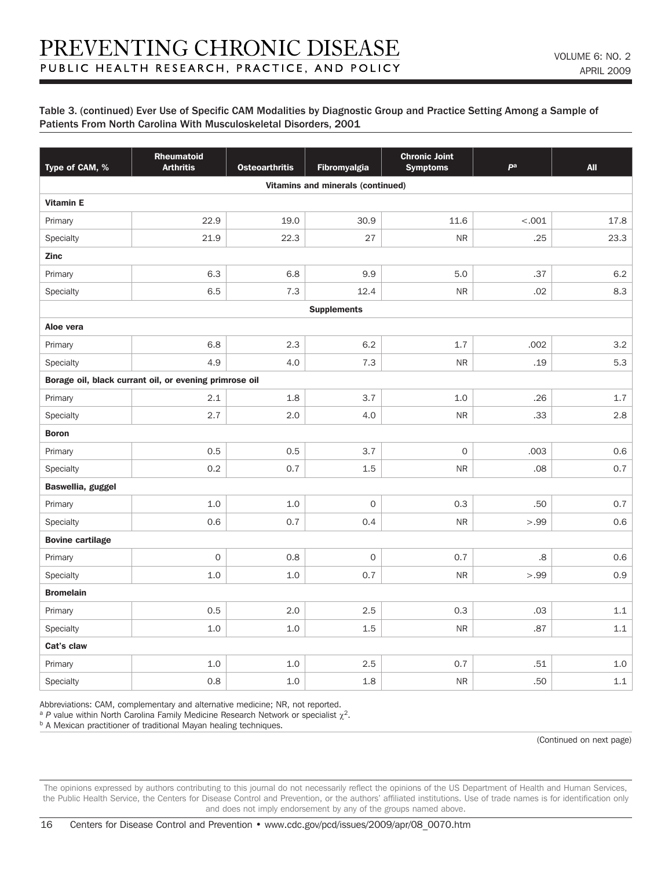| Type of CAM, %          | <b>Rheumatoid</b><br><b>Arthritis</b>                  | <b>Osteoarthritis</b> | Fibromyalgia                             | <b>Chronic Joint</b><br><b>Symptoms</b> | pa      | <b>All</b> |  |  |
|-------------------------|--------------------------------------------------------|-----------------------|------------------------------------------|-----------------------------------------|---------|------------|--|--|
|                         |                                                        |                       | <b>Vitamins and minerals (continued)</b> |                                         |         |            |  |  |
| <b>Vitamin E</b>        |                                                        |                       |                                          |                                         |         |            |  |  |
| Primary                 | 22.9                                                   | 19.0                  | 30.9                                     | 11.6                                    | $-.001$ | 17.8       |  |  |
| Specialty               | 21.9                                                   | 22.3                  | 27                                       | ${\sf NR}$                              | .25     | 23.3       |  |  |
| <b>Zinc</b>             |                                                        |                       |                                          |                                         |         |            |  |  |
| Primary                 | 6.3                                                    | 6.8                   | 9.9                                      | 5.0                                     | .37     | $6.2\,$    |  |  |
| Specialty               | 6.5                                                    | 7.3                   | 12.4                                     | <b>NR</b>                               | .02     | 8.3        |  |  |
|                         |                                                        |                       | <b>Supplements</b>                       |                                         |         |            |  |  |
| Aloe vera               |                                                        |                       |                                          |                                         |         |            |  |  |
| Primary                 | 6.8                                                    | 2.3                   | 6.2                                      | 1.7                                     | .002    | 3.2        |  |  |
| Specialty               | 4.9                                                    | 4.0                   | 7.3                                      | <b>NR</b>                               | .19     | 5.3        |  |  |
|                         | Borage oil, black currant oil, or evening primrose oil |                       |                                          |                                         |         |            |  |  |
| Primary                 | 2.1                                                    | 1.8                   | 3.7                                      | 1.0                                     | .26     | 1.7        |  |  |
| Specialty               | 2.7                                                    | 2.0                   | 4.0                                      | <b>NR</b>                               | .33     | 2.8        |  |  |
| <b>Boron</b>            |                                                        |                       |                                          |                                         |         |            |  |  |
| Primary                 | 0.5                                                    | 0.5                   | 3.7                                      | $\mathsf O$                             | .003    | 0.6        |  |  |
| Specialty               | 0.2                                                    | 0.7                   | 1.5                                      | <b>NR</b>                               | .08     | 0.7        |  |  |
| Baswellia, guggel       |                                                        |                       |                                          |                                         |         |            |  |  |
| Primary                 | 1.0                                                    | 1.0                   | $\overline{O}$                           | 0.3                                     | .50     | 0.7        |  |  |
| Specialty               | 0.6                                                    | 0.7                   | 0.4                                      | <b>NR</b>                               | >.99    | 0.6        |  |  |
| <b>Bovine cartilage</b> |                                                        |                       |                                          |                                         |         |            |  |  |
| Primary                 | $\mathsf O$                                            | 0.8                   | $\mathsf O$                              | 0.7                                     | 8.      | 0.6        |  |  |
| Specialty               | 1.0                                                    | 1.0                   | 0.7                                      | ${\sf NR}$                              | >.99    | 0.9        |  |  |
| <b>Bromelain</b>        |                                                        |                       |                                          |                                         |         |            |  |  |
| Primary                 | 0.5                                                    | 2.0                   | 2.5                                      | 0.3                                     | .03     | 1.1        |  |  |
| Specialty               | 1.0                                                    | 1.0                   | 1.5                                      | <b>NR</b>                               | .87     | $1.1\,$    |  |  |
| Cat's claw              |                                                        |                       |                                          |                                         |         |            |  |  |
| Primary                 | 1.0                                                    | 1.0                   | 2.5                                      | 0.7                                     | .51     | 1.0        |  |  |
| Specialty               | 0.8                                                    | 1.0                   | 1.8                                      | <b>NR</b>                               | .50     | $1.1\,$    |  |  |

Abbreviations: CAM, complementary and alternative medicine; NR, not reported.

<sup>a</sup> *P* value within North Carolina Family Medicine Research Network or specialist  $\chi^2$ .

**b A Mexican practitioner of traditional Mayan healing techniques.** 

(Continued on next page)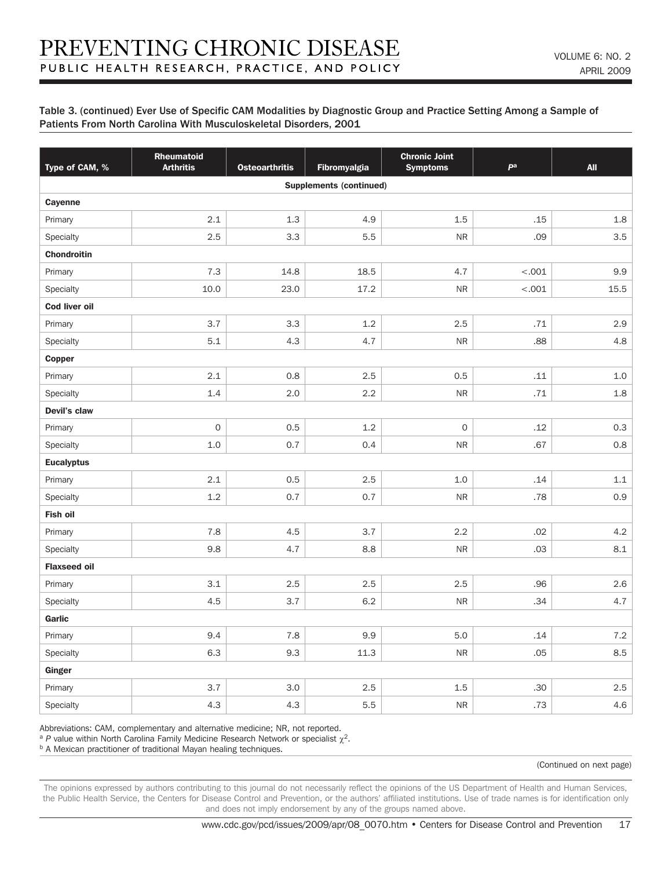| Type of CAM, %       | Rheumatoid<br><b>Arthritis</b> | <b>Osteoarthritis</b> | Fibromyalgia                   | <b>Chronic Joint</b><br><b>Symptoms</b> | pa      | <b>All</b> |  |  |  |
|----------------------|--------------------------------|-----------------------|--------------------------------|-----------------------------------------|---------|------------|--|--|--|
|                      |                                |                       | <b>Supplements (continued)</b> |                                         |         |            |  |  |  |
| <b>Cayenne</b>       |                                |                       |                                |                                         |         |            |  |  |  |
| Primary              | 2.1                            | 1.3                   | 4.9                            | 1.5                                     | .15     | 1.8        |  |  |  |
| Specialty            | 2.5                            | 3.3                   | 5.5                            | <b>NR</b>                               | .09     | 3.5        |  |  |  |
| <b>Chondroitin</b>   |                                |                       |                                |                                         |         |            |  |  |  |
| Primary              | 7.3                            | 14.8                  | 18.5                           | 4.7                                     | $-.001$ | 9.9        |  |  |  |
| Specialty            | 10.0                           | 23.0                  | 17.2                           | ${\sf NR}$                              | $-.001$ | 15.5       |  |  |  |
| <b>Cod liver oil</b> |                                |                       |                                |                                         |         |            |  |  |  |
| Primary              | 3.7                            | 3.3                   | 1.2                            | 2.5                                     | .71     | 2.9        |  |  |  |
| Specialty            | 5.1                            | 4.3                   | 4.7                            | <b>NR</b>                               | .88     | 4.8        |  |  |  |
| <b>Copper</b>        |                                |                       |                                |                                         |         |            |  |  |  |
| Primary              | 2.1                            | 0.8                   | 2.5                            | 0.5                                     | .11     | 1.0        |  |  |  |
| Specialty            | 1.4                            | 2.0                   | 2.2                            | <b>NR</b>                               | .71     | 1.8        |  |  |  |
| Devil's claw         |                                |                       |                                |                                         |         |            |  |  |  |
| Primary              | $\mathsf{O}$                   | 0.5                   | 1.2                            | $\mathsf O$                             | .12     | 0.3        |  |  |  |
| Specialty            | 1.0                            | 0.7                   | 0.4                            | <b>NR</b>                               | .67     | 0.8        |  |  |  |
| <b>Eucalyptus</b>    |                                |                       |                                |                                         |         |            |  |  |  |
| Primary              | 2.1                            | 0.5                   | 2.5                            | 1.0                                     | .14     | 1.1        |  |  |  |
| Specialty            | 1.2                            | 0.7                   | 0.7                            | <b>NR</b>                               | .78     | 0.9        |  |  |  |
| Fish oil             |                                |                       |                                |                                         |         |            |  |  |  |
| Primary              | 7.8                            | 4.5                   | 3.7                            | 2.2                                     | .02     | 4.2        |  |  |  |
| Specialty            | 9.8                            | 4.7                   | 8.8                            | <b>NR</b>                               | .03     | 8.1        |  |  |  |
| <b>Flaxseed oil</b>  |                                |                       |                                |                                         |         |            |  |  |  |
| Primary              | 3.1                            | 2.5                   | 2.5                            | 2.5                                     | .96     | 2.6        |  |  |  |
| Specialty            | 4.5                            | 3.7                   | 6.2                            | <b>NR</b>                               | .34     | 4.7        |  |  |  |
| Garlic               |                                |                       |                                |                                         |         |            |  |  |  |
| Primary              | 9.4                            | 7.8                   | 9.9                            | 5.0                                     | .14     | $7.2\,$    |  |  |  |
| Specialty            | 6.3                            | 9.3                   | 11.3                           | ${\sf NR}$                              | .05     | 8.5        |  |  |  |
| Ginger               |                                |                       |                                |                                         |         |            |  |  |  |
| Primary              | 3.7                            | 3.0                   | 2.5                            | 1.5                                     | .30     | 2.5        |  |  |  |
| Specialty            | 4.3                            | 4.3                   | 5.5                            | <b>NR</b>                               | .73     | 4.6        |  |  |  |

Abbreviations: CAM, complementary and alternative medicine; NR, not reported.

<sup>a</sup> *P* value within North Carolina Family Medicine Research Network or specialist  $\gamma^2$ .

**b A Mexican practitioner of traditional Mayan healing techniques.** 

(Continued on next page)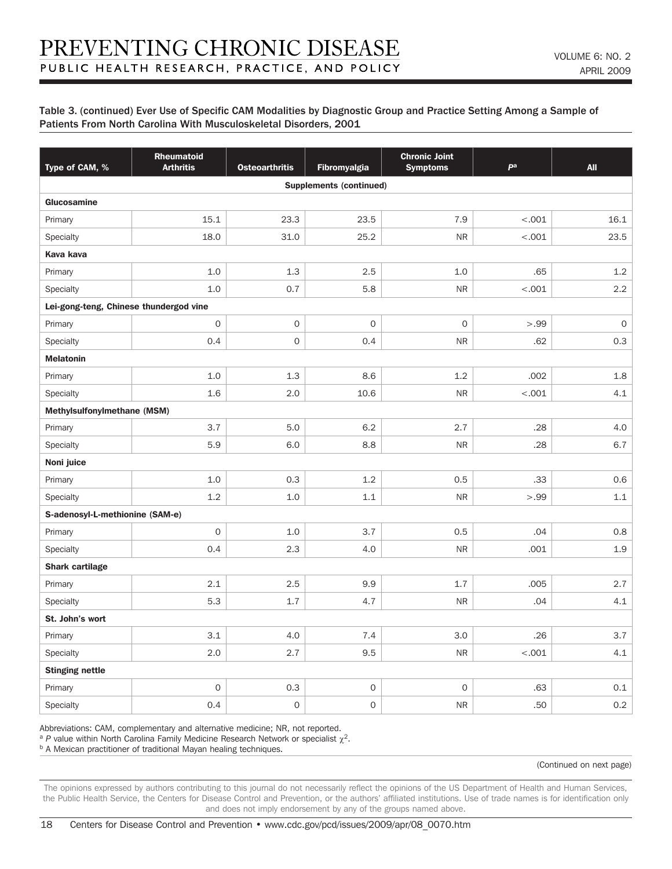| Type of CAM, %                         | <b>Rheumatoid</b><br><b>Arthritis</b> | <b>Osteoarthritis</b> | <b>Fibromyalgia</b> | <b>Chronic Joint</b><br><b>Symptoms</b> | pa      | <b>All</b>  |  |  |  |
|----------------------------------------|---------------------------------------|-----------------------|---------------------|-----------------------------------------|---------|-------------|--|--|--|
| <b>Supplements (continued)</b>         |                                       |                       |                     |                                         |         |             |  |  |  |
| Glucosamine                            |                                       |                       |                     |                                         |         |             |  |  |  |
| Primary                                | 15.1                                  | 23.3                  | 23.5                | 7.9                                     | $-.001$ | 16.1        |  |  |  |
| Specialty                              | 18.0                                  | 31.0                  | 25.2                | <b>NR</b>                               | $-.001$ | 23.5        |  |  |  |
| Kava kava                              |                                       |                       |                     |                                         |         |             |  |  |  |
| Primary                                | 1.0                                   | 1.3                   | 2.5                 | 1.0                                     | .65     | 1.2         |  |  |  |
| Specialty                              | 1.0                                   | 0.7                   | 5.8                 | <b>NR</b>                               | < .001  | 2.2         |  |  |  |
| Lei-gong-teng, Chinese thundergod vine |                                       |                       |                     |                                         |         |             |  |  |  |
| Primary                                | $\mathsf{O}\xspace$                   | $\mathsf{O}\xspace$   | $\mathbf{O}$        | $\mathbf{O}$                            | >.99    | $\mathsf O$ |  |  |  |
| Specialty                              | 0.4                                   | $\mathsf{O}\xspace$   | 0.4                 | <b>NR</b>                               | .62     | 0.3         |  |  |  |
| <b>Melatonin</b>                       |                                       |                       |                     |                                         |         |             |  |  |  |
| Primary                                | 1.0                                   | 1.3                   | 8.6                 | 1.2                                     | .002    | 1.8         |  |  |  |
| Specialty                              | 1.6                                   | 2.0                   | 10.6                | <b>NR</b>                               | < .001  | 4.1         |  |  |  |
| Methylsulfonylmethane (MSM)            |                                       |                       |                     |                                         |         |             |  |  |  |
| Primary                                | 3.7                                   | 5.0                   | 6.2                 | 2.7                                     | .28     | 4.0         |  |  |  |
| Specialty                              | 5.9                                   | 6.0                   | 8.8                 | <b>NR</b>                               | .28     | 6.7         |  |  |  |
| Noni juice                             |                                       |                       |                     |                                         |         |             |  |  |  |
| Primary                                | 1.0                                   | 0.3                   | 1.2                 | 0.5                                     | .33     | 0.6         |  |  |  |
| Specialty                              | 1.2                                   | 1.0                   | $1.1\,$             | <b>NR</b>                               | >.99    | 1.1         |  |  |  |
| S-adenosyl-L-methionine (SAM-e)        |                                       |                       |                     |                                         |         |             |  |  |  |
| Primary                                | $\mathsf{O}\xspace$                   | 1.0                   | 3.7                 | 0.5                                     | .04     | 0.8         |  |  |  |
| Specialty                              | 0.4                                   | 2.3                   | 4.0                 | <b>NR</b>                               | .001    | 1.9         |  |  |  |
| <b>Shark cartilage</b>                 |                                       |                       |                     |                                         |         |             |  |  |  |
| Primary                                | 2.1                                   | 2.5                   | 9.9                 | 1.7                                     | .005    | 2.7         |  |  |  |
| Specialty                              | 5.3                                   | 1.7                   | 4.7                 | <b>NR</b>                               | .04     | 4.1         |  |  |  |
| St. John's wort                        |                                       |                       |                     |                                         |         |             |  |  |  |
| Primary                                | 3.1                                   | 4.0                   | 7.4                 | 3.0                                     | .26     | 3.7         |  |  |  |
| Specialty                              | 2.0                                   | 2.7                   | 9.5                 | <b>NR</b>                               | $-.001$ | 4.1         |  |  |  |
| <b>Stinging nettle</b>                 |                                       |                       |                     |                                         |         |             |  |  |  |
| Primary                                | $\mathsf{O}\xspace$                   | 0.3                   | $\mathsf{O}\xspace$ | $\mathbf{O}$                            | .63     | 0.1         |  |  |  |
| Specialty                              | 0.4                                   | $\mathsf{O}\xspace$   | $\mathsf{O}\xspace$ | <b>NR</b>                               | .50     | 0.2         |  |  |  |

Abbreviations: CAM, complementary and alternative medicine; NR, not reported.

<sup>a</sup> *P* value within North Carolina Family Medicine Research Network or specialist  $\gamma^2$ .

**b A Mexican practitioner of traditional Mayan healing techniques.** 

(Continued on next page)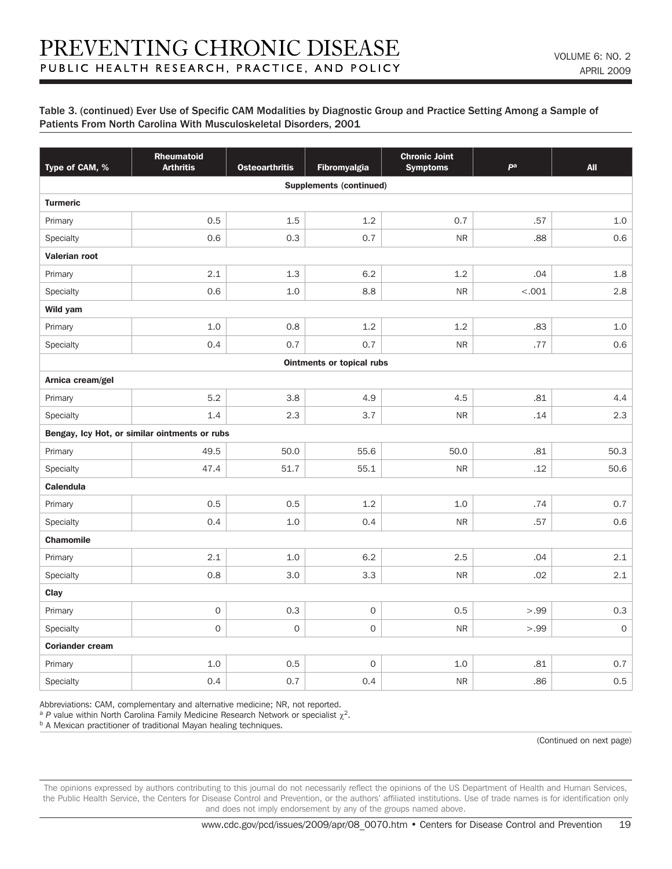| Type of CAM, %         | Rheumatoid<br><b>Arthritis</b>                | <b>Osteoarthritis</b> | Fibromyalgia                     | <b>Chronic Joint</b><br><b>Symptoms</b> | pa     | <b>All</b>          |  |  |
|------------------------|-----------------------------------------------|-----------------------|----------------------------------|-----------------------------------------|--------|---------------------|--|--|
|                        |                                               |                       | <b>Supplements (continued)</b>   |                                         |        |                     |  |  |
| <b>Turmeric</b>        |                                               |                       |                                  |                                         |        |                     |  |  |
| Primary                | 0.5                                           | 1.5                   | 1.2                              | 0.7                                     | .57    | 1.0                 |  |  |
| Specialty              | 0.6                                           | 0.3                   | 0.7                              | <b>NR</b>                               | .88    | 0.6                 |  |  |
| Valerian root          |                                               |                       |                                  |                                         |        |                     |  |  |
| Primary                | 2.1                                           | 1.3                   | 6.2                              | 1.2                                     | .04    | 1.8                 |  |  |
| Specialty              | 0.6                                           | 1.0                   | 8.8                              | <b>NR</b>                               | < .001 | 2.8                 |  |  |
| Wild yam               |                                               |                       |                                  |                                         |        |                     |  |  |
| Primary                | 1.0                                           | 0.8                   | 1.2                              | 1.2                                     | .83    | 1.0                 |  |  |
| Specialty              | 0.4                                           | 0.7                   | 0.7                              | <b>NR</b>                               | .77    | 0.6                 |  |  |
|                        |                                               |                       | <b>Ointments or topical rubs</b> |                                         |        |                     |  |  |
| Arnica cream/gel       |                                               |                       |                                  |                                         |        |                     |  |  |
| Primary                | 5.2                                           | 3.8                   | 4.9                              | 4.5                                     | .81    | 4.4                 |  |  |
| Specialty              | 1.4                                           | 2.3                   | 3.7                              | <b>NR</b>                               | .14    | 2.3                 |  |  |
|                        | Bengay, Icy Hot, or similar ointments or rubs |                       |                                  |                                         |        |                     |  |  |
| Primary                | 49.5                                          | 50.0                  | 55.6                             | 50.0                                    | .81    | 50.3                |  |  |
| Specialty              | 47.4                                          | 51.7                  | 55.1                             | <b>NR</b>                               | .12    | 50.6                |  |  |
| <b>Calendula</b>       |                                               |                       |                                  |                                         |        |                     |  |  |
| Primary                | 0.5                                           | 0.5                   | 1.2                              | 1.0                                     | .74    | 0.7                 |  |  |
| Specialty              | 0.4                                           | 1.0                   | 0.4                              | <b>NR</b>                               | .57    | 0.6                 |  |  |
| <b>Chamomile</b>       |                                               |                       |                                  |                                         |        |                     |  |  |
| Primary                | 2.1                                           | $1.0$                 | 6.2                              | 2.5                                     | .04    | 2.1                 |  |  |
| Specialty              | 0.8                                           | 3.0                   | 3.3                              | <b>NR</b>                               | .02    | 2.1                 |  |  |
| Clay                   |                                               |                       |                                  |                                         |        |                     |  |  |
| Primary                | $\mathsf{O}\xspace$                           | 0.3                   | $\mathsf O$                      | 0.5                                     | >.99   | 0.3                 |  |  |
| Specialty              | $\mathsf{O}\xspace$                           | $\mathsf{O}\xspace$   | $\mathsf O$                      | <b>NR</b>                               | >.99   | $\mathsf{O}\xspace$ |  |  |
| <b>Coriander cream</b> |                                               |                       |                                  |                                         |        |                     |  |  |
| Primary                | 1.0                                           | 0.5                   | $\mathsf O$                      | 1.0                                     | .81    | 0.7                 |  |  |
| Specialty              | 0.4                                           | 0.7                   | 0.4                              | <b>NR</b>                               | .86    | 0.5                 |  |  |

Abbreviations: CAM, complementary and alternative medicine; NR, not reported.

<sup>a</sup> *P* value within North Carolina Family Medicine Research Network or specialist  $\chi^2$ .

**b A Mexican practitioner of traditional Mayan healing techniques.** 

(Continued on next page)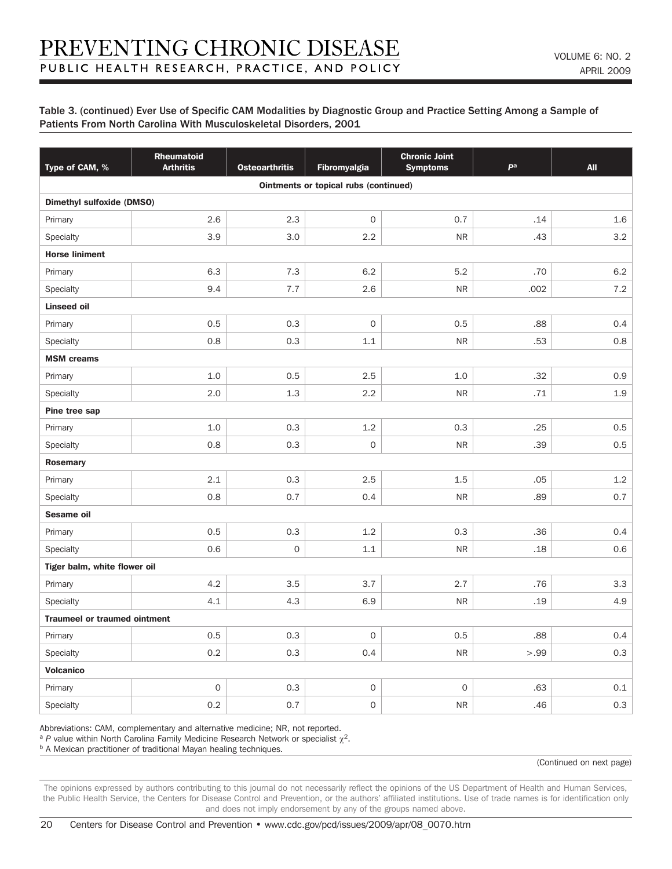| Type of CAM, %                      | Rheumatoid<br><b>Arthritis</b> | <b>Osteoarthritis</b> | <b>Fibromyalgia</b>                   | <b>Chronic Joint</b><br><b>Symptoms</b> | pa   | <b>All</b> |  |  |  |
|-------------------------------------|--------------------------------|-----------------------|---------------------------------------|-----------------------------------------|------|------------|--|--|--|
|                                     |                                |                       | Ointments or topical rubs (continued) |                                         |      |            |  |  |  |
| <b>Dimethyl sulfoxide (DMSO)</b>    |                                |                       |                                       |                                         |      |            |  |  |  |
| Primary                             | 2.6                            | 2.3                   | $\mathbf 0$                           | 0.7                                     | .14  | 1.6        |  |  |  |
| Specialty                           | 3.9                            | 3.0                   | 2.2                                   | ${\sf NR}$                              | .43  | 3.2        |  |  |  |
| <b>Horse liniment</b>               |                                |                       |                                       |                                         |      |            |  |  |  |
| Primary                             | 6.3                            | 7.3                   | 6.2                                   | 5.2                                     | .70  | 6.2        |  |  |  |
| Specialty                           | 9.4                            | 7.7                   | 2.6                                   | ${\sf NR}$                              | .002 | 7.2        |  |  |  |
| <b>Linseed oil</b>                  |                                |                       |                                       |                                         |      |            |  |  |  |
| Primary                             | 0.5                            | 0.3                   | $\mathsf{O}\xspace$                   | 0.5                                     | .88  | 0.4        |  |  |  |
| Specialty                           | 0.8                            | 0.3                   | $1.1\,$                               | ${\sf NR}$                              | .53  | 0.8        |  |  |  |
| <b>MSM</b> creams                   |                                |                       |                                       |                                         |      |            |  |  |  |
| Primary                             | 1.0                            | 0.5                   | 2.5                                   | 1.0                                     | .32  | 0.9        |  |  |  |
| Specialty                           | 2.0                            | 1.3                   | 2.2                                   | <b>NR</b>                               | .71  | 1.9        |  |  |  |
| Pine tree sap                       |                                |                       |                                       |                                         |      |            |  |  |  |
| Primary                             | 1.0                            | 0.3                   | 1.2                                   | 0.3                                     | .25  | 0.5        |  |  |  |
| Specialty                           | 0.8                            | 0.3                   | $\mathsf{O}\xspace$                   | <b>NR</b>                               | .39  | 0.5        |  |  |  |
| <b>Rosemary</b>                     |                                |                       |                                       |                                         |      |            |  |  |  |
| Primary                             | 2.1                            | 0.3                   | 2.5                                   | 1.5                                     | .05  | 1.2        |  |  |  |
| Specialty                           | 0.8                            | 0.7                   | 0.4                                   | <b>NR</b>                               | .89  | 0.7        |  |  |  |
| Sesame oil                          |                                |                       |                                       |                                         |      |            |  |  |  |
| Primary                             | 0.5                            | 0.3                   | 1.2                                   | 0.3                                     | .36  | 0.4        |  |  |  |
| Specialty                           | 0.6                            | $\mathsf{O}\xspace$   | 1.1                                   | <b>NR</b>                               | .18  | 0.6        |  |  |  |
| Tiger balm, white flower oil        |                                |                       |                                       |                                         |      |            |  |  |  |
| Primary                             | 4.2                            | 3.5                   | 3.7                                   | 2.7                                     | .76  | 3.3        |  |  |  |
| Specialty                           | 4.1                            | 4.3                   | 6.9                                   | <b>NR</b>                               | .19  | 4.9        |  |  |  |
| <b>Traumeel or traumed ointment</b> |                                |                       |                                       |                                         |      |            |  |  |  |
| Primary                             | 0.5                            | 0.3                   | $\mathsf{O}\xspace$                   | 0.5                                     | .88  | 0.4        |  |  |  |
| Specialty                           | 0.2                            | 0.3                   | 0.4                                   | ${\sf NR}$                              | >.99 | 0.3        |  |  |  |
| <b>Volcanico</b>                    |                                |                       |                                       |                                         |      |            |  |  |  |
| Primary                             | $\mathsf{O}\xspace$            | 0.3                   | $\mathsf{O}\xspace$                   | $\mathbf 0$                             | .63  | 0.1        |  |  |  |
| Specialty                           | 0.2                            | 0.7                   | $\mathsf O$                           | <b>NR</b>                               | .46  | 0.3        |  |  |  |

Abbreviations: CAM, complementary and alternative medicine; NR, not reported.

<sup>a</sup> *P* value within North Carolina Family Medicine Research Network or specialist  $\gamma^2$ .

**b A Mexican practitioner of traditional Mayan healing techniques.** 

(Continued on next page)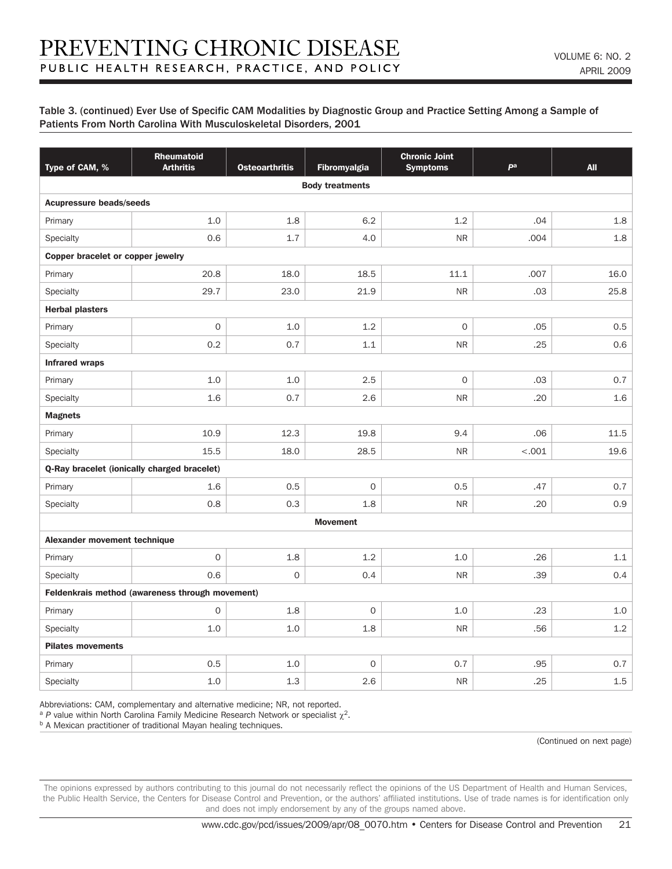| Type of CAM, %                    | <b>Rheumatoid</b><br><b>Arthritis</b>           | <b>Osteoarthritis</b> | Fibromyalgia           | <b>Chronic Joint</b><br><b>Symptoms</b> | pa     | <b>All</b> |  |  |  |
|-----------------------------------|-------------------------------------------------|-----------------------|------------------------|-----------------------------------------|--------|------------|--|--|--|
|                                   |                                                 |                       | <b>Body treatments</b> |                                         |        |            |  |  |  |
| <b>Acupressure beads/seeds</b>    |                                                 |                       |                        |                                         |        |            |  |  |  |
| Primary                           | 1.0                                             | 1.8                   | 6.2                    | 1.2                                     | .04    | 1.8        |  |  |  |
| Specialty                         | 0.6                                             | 1.7                   | 4.0                    | <b>NR</b>                               | .004   | 1.8        |  |  |  |
| Copper bracelet or copper jewelry |                                                 |                       |                        |                                         |        |            |  |  |  |
| Primary                           | 20.8                                            | 18.0                  | 18.5                   | 11.1                                    | .007   | 16.0       |  |  |  |
| Specialty                         | 29.7                                            | 23.0                  | 21.9                   | <b>NR</b>                               | .03    | 25.8       |  |  |  |
| <b>Herbal plasters</b>            |                                                 |                       |                        |                                         |        |            |  |  |  |
| Primary                           | $\overline{0}$                                  | 1.0                   | 1.2                    | $\mathbf{O}$                            | .05    | 0.5        |  |  |  |
| Specialty                         | 0.2                                             | 0.7                   | 1.1                    | <b>NR</b>                               | .25    | 0.6        |  |  |  |
| <b>Infrared wraps</b>             |                                                 |                       |                        |                                         |        |            |  |  |  |
| Primary                           | 1.0                                             | 1.0                   | 2.5                    | $\mathsf O$                             | .03    | 0.7        |  |  |  |
| Specialty                         | 1.6                                             | 0.7                   | 2.6                    | <b>NR</b>                               | .20    | 1.6        |  |  |  |
| <b>Magnets</b>                    |                                                 |                       |                        |                                         |        |            |  |  |  |
| Primary                           | 10.9                                            | 12.3                  | 19.8                   | 9.4                                     | .06    | 11.5       |  |  |  |
| Specialty                         | 15.5                                            | 18.0                  | 28.5                   | <b>NR</b>                               | < .001 | 19.6       |  |  |  |
|                                   | Q-Ray bracelet (ionically charged bracelet)     |                       |                        |                                         |        |            |  |  |  |
| Primary                           | 1.6                                             | 0.5                   | $\overline{O}$         | 0.5                                     | .47    | 0.7        |  |  |  |
| Specialty                         | 0.8                                             | 0.3                   | 1.8                    | <b>NR</b>                               | .20    | 0.9        |  |  |  |
|                                   |                                                 |                       | <b>Movement</b>        |                                         |        |            |  |  |  |
| Alexander movement technique      |                                                 |                       |                        |                                         |        |            |  |  |  |
| Primary                           | $\mathsf O$                                     | 1.8                   | 1.2                    | 1.0                                     | .26    | 1.1        |  |  |  |
| Specialty                         | 0.6                                             | $\mathsf{O}\xspace$   | 0.4                    | <b>NR</b>                               | .39    | 0.4        |  |  |  |
|                                   | Feldenkrais method (awareness through movement) |                       |                        |                                         |        |            |  |  |  |
| Primary                           | $\mathbf{O}$                                    | 1.8                   | $\mathbf{O}$           | 1.0                                     | .23    | 1.0        |  |  |  |
| Specialty                         | 1.0                                             | 1.0                   | 1.8                    | <b>NR</b>                               | .56    | 1.2        |  |  |  |
| <b>Pilates movements</b>          |                                                 |                       |                        |                                         |        |            |  |  |  |
| Primary                           | 0.5                                             | 1.0                   | $\mathsf{O}\xspace$    | 0.7                                     | .95    | 0.7        |  |  |  |
| Specialty                         | 1.0                                             | 1.3                   | 2.6                    | <b>NR</b>                               | .25    | 1.5        |  |  |  |

Abbreviations: CAM, complementary and alternative medicine; NR, not reported.

<sup>a</sup> *P* value within North Carolina Family Medicine Research Network or specialist  $\chi^2$ .

**b A Mexican practitioner of traditional Mayan healing techniques.** 

(Continued on next page)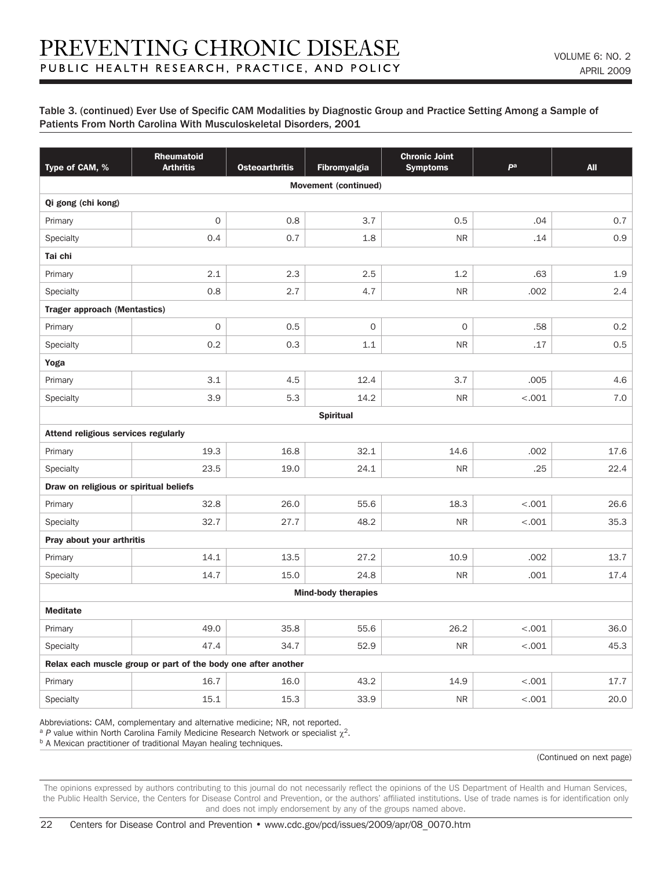| Type of CAM, %                         | Rheumatoid<br><b>Arthritis</b>                                | <b>Osteoarthritis</b> | Fibromyalgia               | <b>Chronic Joint</b><br><b>Symptoms</b> | pa      | <b>All</b> |  |  |  |
|----------------------------------------|---------------------------------------------------------------|-----------------------|----------------------------|-----------------------------------------|---------|------------|--|--|--|
| <b>Movement (continued)</b>            |                                                               |                       |                            |                                         |         |            |  |  |  |
| Qi gong (chi kong)                     |                                                               |                       |                            |                                         |         |            |  |  |  |
| Primary                                | $\mathsf{O}\xspace$                                           | 0.8                   | 3.7                        | 0.5                                     | .04     | 0.7        |  |  |  |
| Specialty                              | 0.4                                                           | 0.7                   | 1.8                        | <b>NR</b>                               | .14     | 0.9        |  |  |  |
| Tai chi                                |                                                               |                       |                            |                                         |         |            |  |  |  |
| Primary                                | 2.1                                                           | 2.3                   | 2.5                        | 1.2                                     | .63     | 1.9        |  |  |  |
| Specialty                              | 0.8                                                           | 2.7                   | 4.7                        | <b>NR</b>                               | .002    | 2.4        |  |  |  |
| <b>Trager approach (Mentastics)</b>    |                                                               |                       |                            |                                         |         |            |  |  |  |
| Primary                                | $\mathsf O$                                                   | 0.5                   | $\mathsf{O}\xspace$        | $\mathsf{O}\xspace$                     | .58     | 0.2        |  |  |  |
| Specialty                              | 0.2                                                           | 0.3                   | 1.1                        | <b>NR</b>                               | .17     | 0.5        |  |  |  |
| Yoga                                   |                                                               |                       |                            |                                         |         |            |  |  |  |
| Primary                                | 3.1                                                           | 4.5                   | 12.4                       | 3.7                                     | .005    | 4.6        |  |  |  |
| Specialty                              | 3.9                                                           | 5.3                   | 14.2                       | <b>NR</b>                               | < .001  | 7.0        |  |  |  |
|                                        |                                                               |                       | <b>Spiritual</b>           |                                         |         |            |  |  |  |
| Attend religious services regularly    |                                                               |                       |                            |                                         |         |            |  |  |  |
| Primary                                | 19.3                                                          | 16.8                  | 32.1                       | 14.6                                    | .002    | 17.6       |  |  |  |
| <b>Specialty</b>                       | 23.5                                                          | 19.0                  | 24.1                       | <b>NR</b>                               | .25     | 22.4       |  |  |  |
| Draw on religious or spiritual beliefs |                                                               |                       |                            |                                         |         |            |  |  |  |
| Primary                                | 32.8                                                          | 26.0                  | 55.6                       | 18.3                                    | $-.001$ | 26.6       |  |  |  |
| Specialty                              | 32.7                                                          | 27.7                  | 48.2                       | <b>NR</b>                               | $-.001$ | 35.3       |  |  |  |
| Pray about your arthritis              |                                                               |                       |                            |                                         |         |            |  |  |  |
| Primary                                | 14.1                                                          | 13.5                  | 27.2                       | 10.9                                    | .002    | 13.7       |  |  |  |
| Specialty                              | 14.7                                                          | 15.0                  | 24.8                       | <b>NR</b>                               | .001    | 17.4       |  |  |  |
|                                        |                                                               |                       | <b>Mind-body therapies</b> |                                         |         |            |  |  |  |
| <b>Meditate</b>                        |                                                               |                       |                            |                                         |         |            |  |  |  |
| Primary                                | 49.0                                                          | 35.8                  | 55.6                       | 26.2                                    | < .001  | 36.0       |  |  |  |
| Specialty                              | 47.4                                                          | 34.7                  | 52.9                       | <b>NR</b>                               | $-.001$ | 45.3       |  |  |  |
|                                        | Relax each muscle group or part of the body one after another |                       |                            |                                         |         |            |  |  |  |
| Primary                                | 16.7                                                          | 16.0                  | 43.2                       | 14.9                                    | $-.001$ | 17.7       |  |  |  |
| Specialty                              | 15.1                                                          | 15.3                  | 33.9                       | <b>NR</b>                               | < .001  | 20.0       |  |  |  |

Abbreviations: CAM, complementary and alternative medicine; NR, not reported.

<sup>a</sup> *P* value within North Carolina Family Medicine Research Network or specialist  $\chi^2$ .

**b A Mexican practitioner of traditional Mayan healing techniques.** 

(Continued on next page)